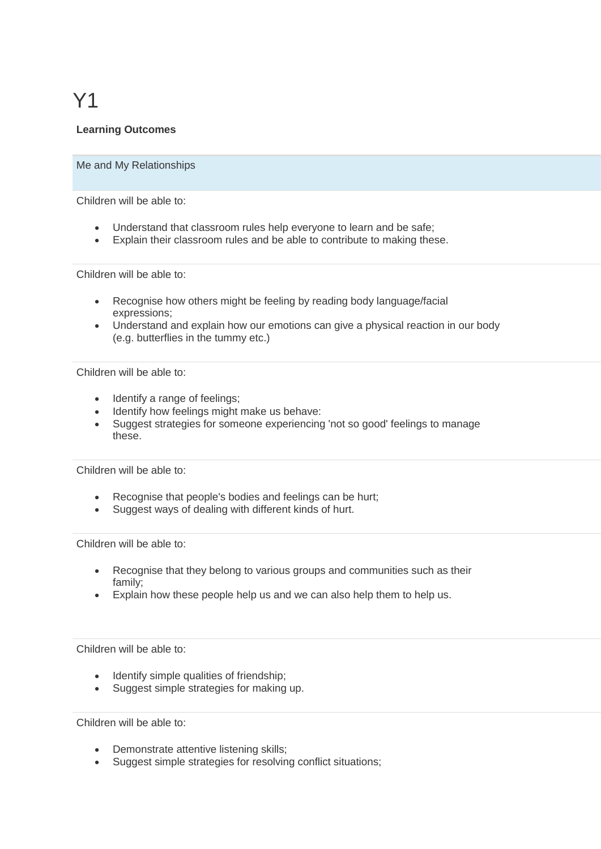# Y1

## **Learning Outcomes**

#### Me and My Relationships

Children will be able to:

- Understand that classroom rules help everyone to learn and be safe;
- Explain their classroom rules and be able to contribute to making these.

Children will be able to:

- Recognise how others might be feeling by reading body language/facial expressions;
- Understand and explain how our emotions can give a physical reaction in our body (e.g. butterflies in the tummy etc.)

Children will be able to:

- Identify a range of feelings:
- Identify how feelings might make us behave:
- Suggest strategies for someone experiencing 'not so good' feelings to manage these.

Children will be able to:

- Recognise that people's bodies and feelings can be hurt;
- Suggest ways of dealing with different kinds of hurt.

Children will be able to:

- Recognise that they belong to various groups and communities such as their family;
- Explain how these people help us and we can also help them to help us.

Children will be able to:

- Identify simple qualities of friendship;
- Suggest simple strategies for making up.

- Demonstrate attentive listening skills;
- Suggest simple strategies for resolving conflict situations;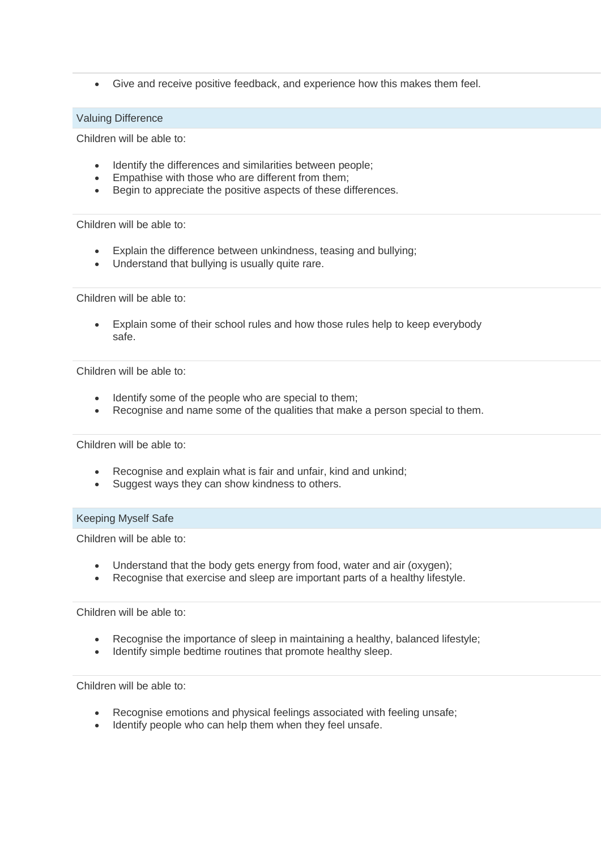• Give and receive positive feedback, and experience how this makes them feel.

### Valuing Difference

Children will be able to:

- Identify the differences and similarities between people;
- Empathise with those who are different from them;
- Begin to appreciate the positive aspects of these differences.

Children will be able to:

- Explain the difference between unkindness, teasing and bullying;
- Understand that bullying is usually quite rare.

Children will be able to:

• Explain some of their school rules and how those rules help to keep everybody safe.

Children will be able to:

- Identify some of the people who are special to them;
- Recognise and name some of the qualities that make a person special to them.

Children will be able to:

- Recognise and explain what is fair and unfair, kind and unkind:
- Suggest ways they can show kindness to others.

#### Keeping Myself Safe

Children will be able to:

- Understand that the body gets energy from food, water and air (oxygen);
- Recognise that exercise and sleep are important parts of a healthy lifestyle.

Children will be able to:

- Recognise the importance of sleep in maintaining a healthy, balanced lifestyle;
- Identify simple bedtime routines that promote healthy sleep.

- Recognise emotions and physical feelings associated with feeling unsafe;
- Identify people who can help them when they feel unsafe.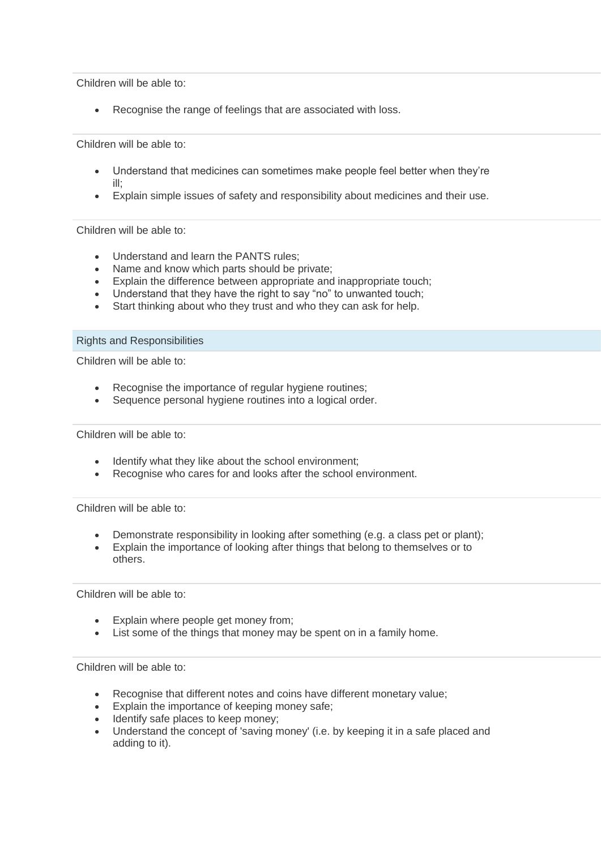Children will be able to:

Recognise the range of feelings that are associated with loss.

Children will be able to:

- Understand that medicines can sometimes make people feel better when they're ill;
- Explain simple issues of safety and responsibility about medicines and their use.

#### Children will be able to:

- Understand and learn the PANTS rules;
- Name and know which parts should be private;
- Explain the difference between appropriate and inappropriate touch;
- Understand that they have the right to say "no" to unwanted touch;
- Start thinking about who they trust and who they can ask for help.

#### Rights and Responsibilities

Children will be able to:

- Recognise the importance of regular hygiene routines;
- Sequence personal hygiene routines into a logical order.

Children will be able to:

- Identify what they like about the school environment;
- Recognise who cares for and looks after the school environment.

Children will be able to:

- Demonstrate responsibility in looking after something (e.g. a class pet or plant);
- Explain the importance of looking after things that belong to themselves or to others.

Children will be able to:

- Explain where people get money from;
- List some of the things that money may be spent on in a family home.

- Recognise that different notes and coins have different monetary value;
- Explain the importance of keeping money safe;
- Identify safe places to keep money;
- Understand the concept of 'saving money' (i.e. by keeping it in a safe placed and adding to it).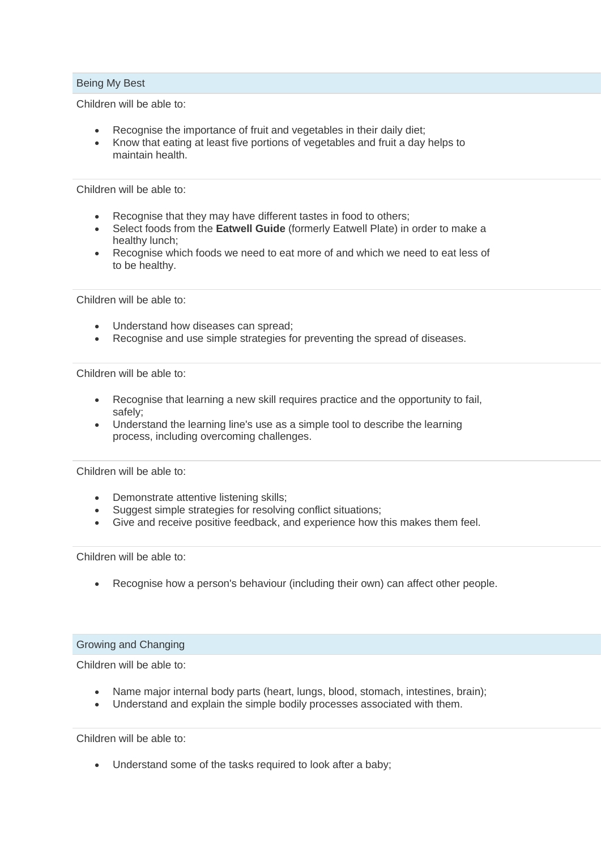### Being My Best

Children will be able to:

- Recognise the importance of fruit and vegetables in their daily diet;
- Know that eating at least five portions of vegetables and fruit a day helps to maintain health.

Children will be able to:

- Recognise that they may have different tastes in food to others;
- Select foods from the **Eatwell Guide** (formerly Eatwell Plate) in order to make a healthy lunch;
- Recognise which foods we need to eat more of and which we need to eat less of to be healthy.

Children will be able to:

- Understand how diseases can spread;
- Recognise and use simple strategies for preventing the spread of diseases.

Children will be able to:

- Recognise that learning a new skill requires practice and the opportunity to fail, safely;
- Understand the learning line's use as a simple tool to describe the learning process, including overcoming challenges.

Children will be able to:

- Demonstrate attentive listening skills;
- Suggest simple strategies for resolving conflict situations;
- Give and receive positive feedback, and experience how this makes them feel.

Children will be able to:

• Recognise how a person's behaviour (including their own) can affect other people.

### Growing and Changing

Children will be able to:

- Name major internal body parts (heart, lungs, blood, stomach, intestines, brain);
- Understand and explain the simple bodily processes associated with them.

Children will be able to:

• Understand some of the tasks required to look after a baby;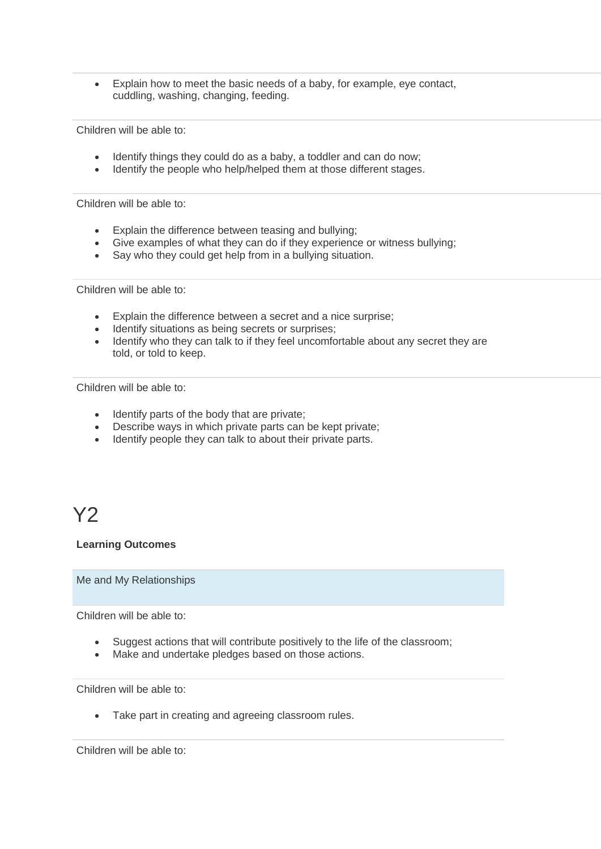• Explain how to meet the basic needs of a baby, for example, eye contact, cuddling, washing, changing, feeding.

Children will be able to:

- Identify things they could do as a baby, a toddler and can do now;
- Identify the people who help/helped them at those different stages.

Children will be able to:

- Explain the difference between teasing and bullying;
- Give examples of what they can do if they experience or witness bullying;
- Say who they could get help from in a bullying situation.

Children will be able to:

- Explain the difference between a secret and a nice surprise;
- Identify situations as being secrets or surprises;
- Identify who they can talk to if they feel uncomfortable about any secret they are told, or told to keep.

Children will be able to:

- Identify parts of the body that are private;
- Describe ways in which private parts can be kept private;
- Identify people they can talk to about their private parts.

# Y<sub>2</sub>

### **Learning Outcomes**

Me and My Relationships

Children will be able to:

- Suggest actions that will contribute positively to the life of the classroom;
- Make and undertake pledges based on those actions.

Children will be able to:

• Take part in creating and agreeing classroom rules.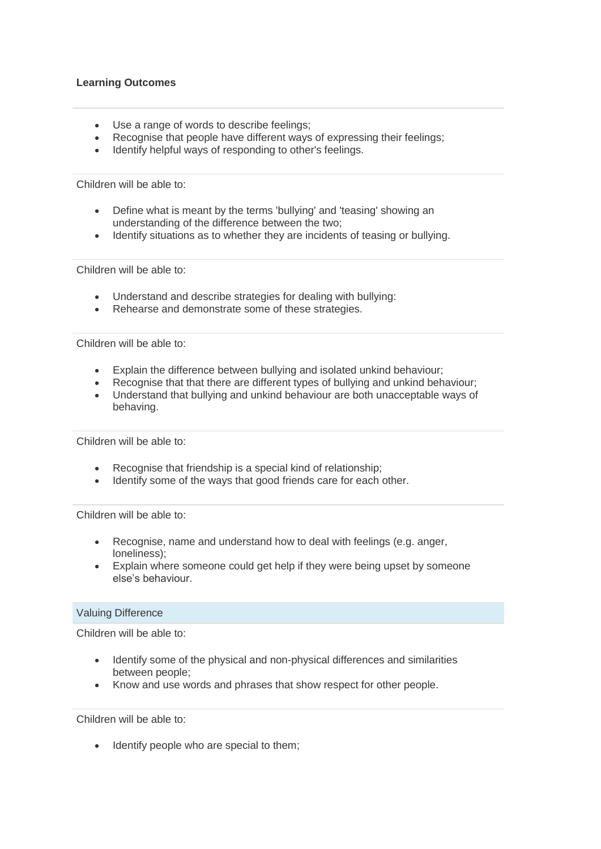- Use a range of words to describe feelings;
- Recognise that people have different ways of expressing their feelings;
- Identify helpful ways of responding to other's feelings.

Children will be able to:

- Define what is meant by the terms 'bullying' and 'teasing' showing an understanding of the difference between the two;
- Identify situations as to whether they are incidents of teasing or bullying.

Children will be able to:

- Understand and describe strategies for dealing with bullying:
- Rehearse and demonstrate some of these strategies.

Children will be able to:

- Explain the difference between bullying and isolated unkind behaviour;
- Recognise that that there are different types of bullying and unkind behaviour;
- Understand that bullying and unkind behaviour are both unacceptable ways of behaving.

Children will be able to:

- Recognise that friendship is a special kind of relationship;
- Identify some of the ways that good friends care for each other.

Children will be able to:

- Recognise, name and understand how to deal with feelings (e.g. anger, loneliness);
- Explain where someone could get help if they were being upset by someone else's behaviour.

### Valuing Difference

Children will be able to:

- Identify some of the physical and non-physical differences and similarities between people;
- Know and use words and phrases that show respect for other people.

Children will be able to:

• Identify people who are special to them;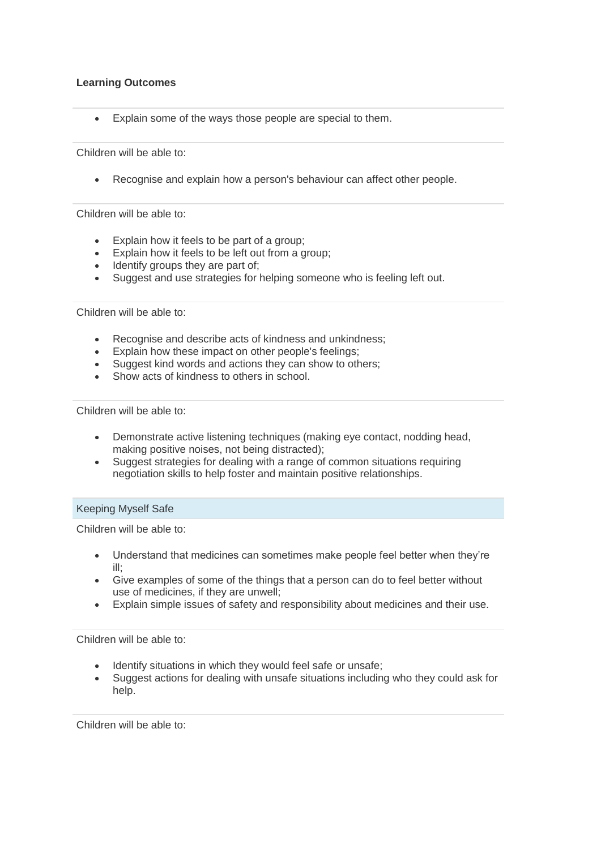• Explain some of the ways those people are special to them.

Children will be able to:

• Recognise and explain how a person's behaviour can affect other people.

Children will be able to:

- Explain how it feels to be part of a group;
- Explain how it feels to be left out from a group;
- Identify groups they are part of:
- Suggest and use strategies for helping someone who is feeling left out.

#### Children will be able to:

- Recognise and describe acts of kindness and unkindness;
- Explain how these impact on other people's feelings;
- Suggest kind words and actions they can show to others;
- Show acts of kindness to others in school.

Children will be able to:

- Demonstrate active listening techniques (making eye contact, nodding head, making positive noises, not being distracted);
- Suggest strategies for dealing with a range of common situations requiring negotiation skills to help foster and maintain positive relationships.

### Keeping Myself Safe

Children will be able to:

- Understand that medicines can sometimes make people feel better when they're ill;
- Give examples of some of the things that a person can do to feel better without use of medicines, if they are unwell;
- Explain simple issues of safety and responsibility about medicines and their use.

Children will be able to:

- Identify situations in which they would feel safe or unsafe;
- Suggest actions for dealing with unsafe situations including who they could ask for help.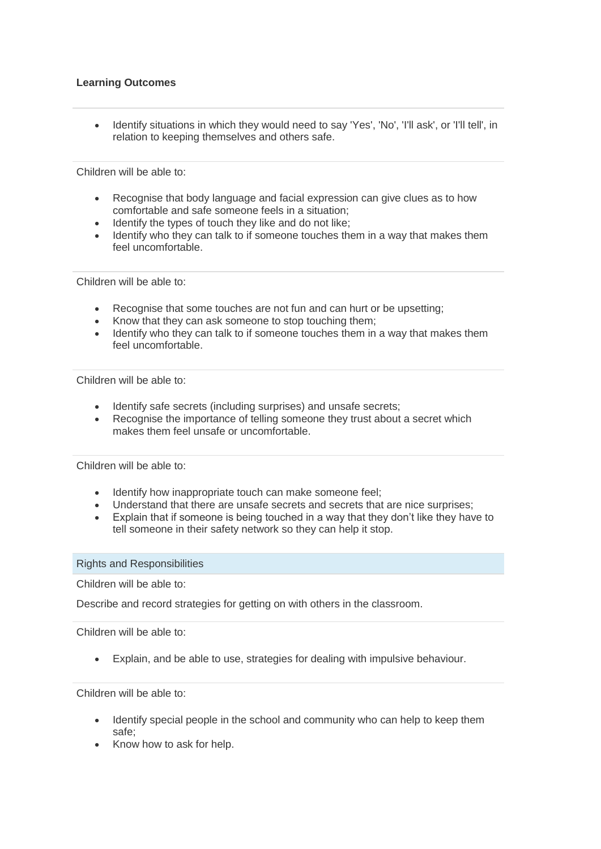• Identify situations in which they would need to say 'Yes', 'No', 'I'll ask', or 'I'll tell', in relation to keeping themselves and others safe.

Children will be able to:

- Recognise that body language and facial expression can give clues as to how comfortable and safe someone feels in a situation;
- Identify the types of touch they like and do not like;
- Identify who they can talk to if someone touches them in a way that makes them feel uncomfortable.

Children will be able to:

- Recognise that some touches are not fun and can hurt or be upsetting;
- Know that they can ask someone to stop touching them;
- Identify who they can talk to if someone touches them in a way that makes them feel uncomfortable.

Children will be able to:

- Identify safe secrets (including surprises) and unsafe secrets;
- Recognise the importance of telling someone they trust about a secret which makes them feel unsafe or uncomfortable.

Children will be able to:

- Identify how inappropriate touch can make someone feel;
- Understand that there are unsafe secrets and secrets that are nice surprises;
- Explain that if someone is being touched in a way that they don't like they have to tell someone in their safety network so they can help it stop.

Rights and Responsibilities

Children will be able to:

Describe and record strategies for getting on with others in the classroom.

Children will be able to:

• Explain, and be able to use, strategies for dealing with impulsive behaviour.

- Identify special people in the school and community who can help to keep them safe;
- Know how to ask for help.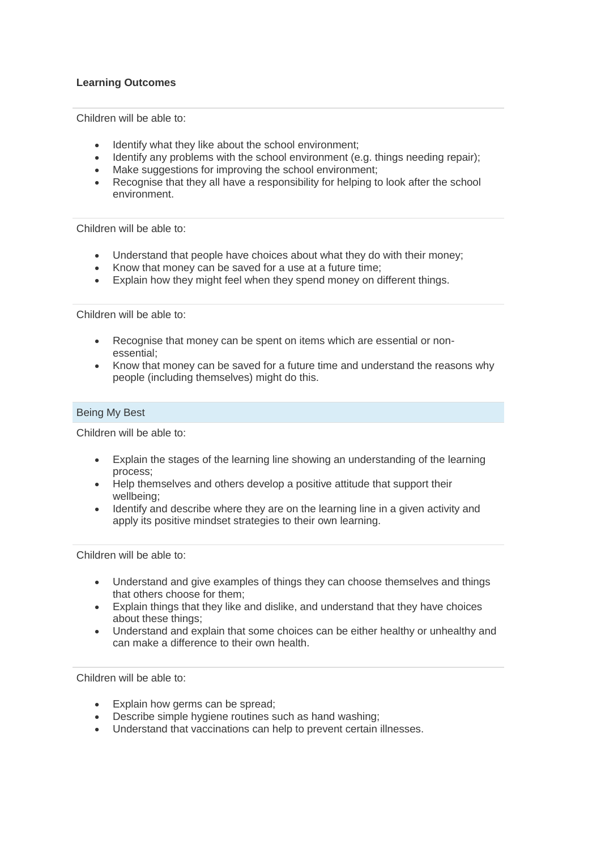Children will be able to:

- Identify what they like about the school environment;
- Identify any problems with the school environment (e.g. things needing repair);
- Make suggestions for improving the school environment;
- Recognise that they all have a responsibility for helping to look after the school environment.

Children will be able to:

- Understand that people have choices about what they do with their money;
- Know that money can be saved for a use at a future time;
- Explain how they might feel when they spend money on different things.

Children will be able to:

- Recognise that money can be spent on items which are essential or nonessential;
- Know that money can be saved for a future time and understand the reasons why people (including themselves) might do this.

### Being My Best

Children will be able to:

- Explain the stages of the learning line showing an understanding of the learning process;
- Help themselves and others develop a positive attitude that support their wellbeing;
- Identify and describe where they are on the learning line in a given activity and apply its positive mindset strategies to their own learning.

Children will be able to:

- Understand and give examples of things they can choose themselves and things that others choose for them;
- Explain things that they like and dislike, and understand that they have choices about these things;
- Understand and explain that some choices can be either healthy or unhealthy and can make a difference to their own health.

- Explain how germs can be spread:
- Describe simple hygiene routines such as hand washing;
- Understand that vaccinations can help to prevent certain illnesses.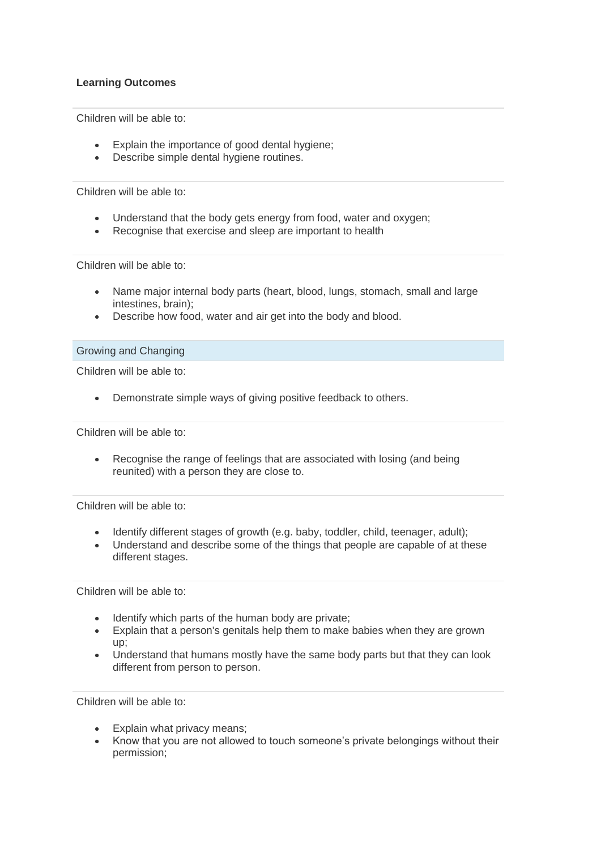Children will be able to:

- Explain the importance of good dental hygiene;
- Describe simple dental hygiene routines.

Children will be able to:

- Understand that the body gets energy from food, water and oxygen;
- Recognise that exercise and sleep are important to health

Children will be able to:

- Name major internal body parts (heart, blood, lungs, stomach, small and large intestines, brain);
- Describe how food, water and air get into the body and blood.

### Growing and Changing

Children will be able to:

• Demonstrate simple ways of giving positive feedback to others.

Children will be able to:

• Recognise the range of feelings that are associated with losing (and being reunited) with a person they are close to.

Children will be able to:

- Identify different stages of growth (e.g. baby, toddler, child, teenager, adult);
- Understand and describe some of the things that people are capable of at these different stages.

Children will be able to:

- Identify which parts of the human body are private;
- Explain that a person's genitals help them to make babies when they are grown up;
- Understand that humans mostly have the same body parts but that they can look different from person to person.

- Explain what privacy means;
- Know that you are not allowed to touch someone's private belongings without their permission;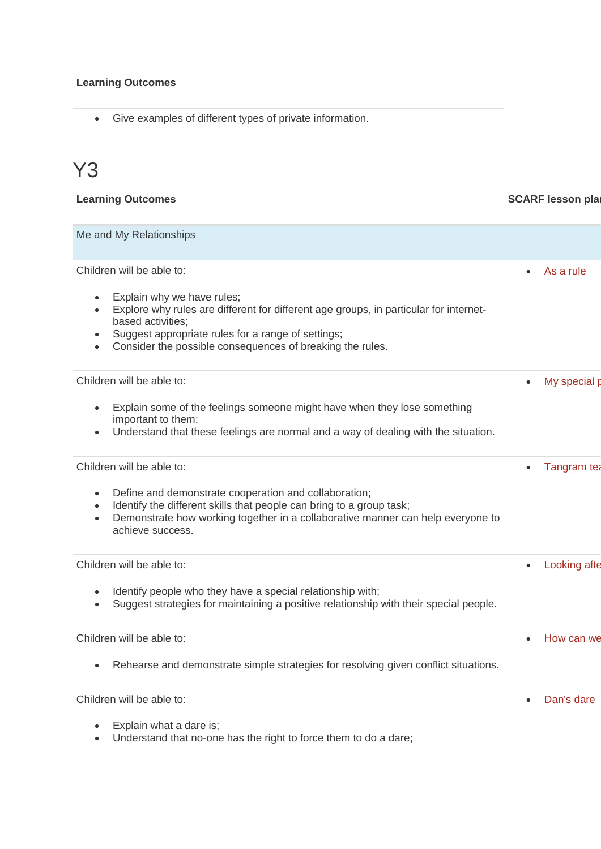• Give examples of different types of private information.

# Y3

| <b>Learning Outcomes</b> | <b>SCARF lesson plar</b> |
|--------------------------|--------------------------|
| Me and My Relationships  |                          |

| Children will be able to:<br>Explain why we have rules;<br>Explore why rules are different for different age groups, in particular for internet-<br>based activities;<br>Suggest appropriate rules for a range of settings;<br>Consider the possible consequences of breaking the rules. | As a rule                 |
|------------------------------------------------------------------------------------------------------------------------------------------------------------------------------------------------------------------------------------------------------------------------------------------|---------------------------|
| Children will be able to:<br>Explain some of the feelings someone might have when they lose something<br>important to them;<br>Understand that these feelings are normal and a way of dealing with the situation.<br>$\bullet$                                                           | My special p<br>$\bullet$ |
| Children will be able to:<br>Define and demonstrate cooperation and collaboration;<br>Identify the different skills that people can bring to a group task;<br>Demonstrate how working together in a collaborative manner can help everyone to<br>achieve success.                        | Tangram tea               |
| Children will be able to:<br>Identify people who they have a special relationship with;<br>Suggest strategies for maintaining a positive relationship with their special people.<br>$\bullet$                                                                                            | Looking afte              |
| Children will be able to:<br>Rehearse and demonstrate simple strategies for resolving given conflict situations.                                                                                                                                                                         | How can we                |
| Children will be able to:<br>Explain what a dare is;<br>Understand that no-one has the right to force them to do a dare;                                                                                                                                                                 | Dan's dare<br>$\bullet$   |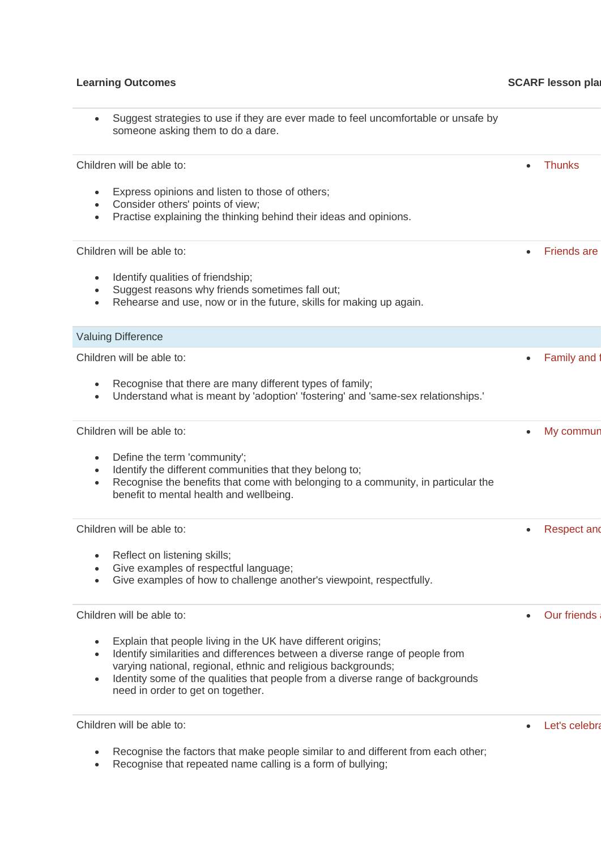## **Learning Outcomes CONSIDERENT CONSIDERED ASSESSED ASSESSED PROPERTY ASSESSED PROPERTY ASSESSED PROPERTY ASSESSED PROPERTY ASSESSED PROPERTY ASSESSED PROPERTY ASSESSED PROPERTY ASSESSED PROPERTY ASSESSED PROPERTY ASSESSE**

| Suggest strategies to use if they are ever made to feel uncomfortable or unsafe by<br>someone asking them to do a dare.                                                                                                                                                                                                                           |                    |
|---------------------------------------------------------------------------------------------------------------------------------------------------------------------------------------------------------------------------------------------------------------------------------------------------------------------------------------------------|--------------------|
| Children will be able to:                                                                                                                                                                                                                                                                                                                         | <b>Thunks</b>      |
| Express opinions and listen to those of others;<br>Consider others' points of view;<br>Practise explaining the thinking behind their ideas and opinions.<br>$\bullet$                                                                                                                                                                             |                    |
| Children will be able to:                                                                                                                                                                                                                                                                                                                         | <b>Friends are</b> |
| Identify qualities of friendship;<br>$\bullet$<br>Suggest reasons why friends sometimes fall out;<br>Rehearse and use, now or in the future, skills for making up again.<br>$\bullet$                                                                                                                                                             |                    |
| <b>Valuing Difference</b>                                                                                                                                                                                                                                                                                                                         |                    |
| Children will be able to:                                                                                                                                                                                                                                                                                                                         | Family and         |
| Recognise that there are many different types of family;<br>Understand what is meant by 'adoption' 'fostering' and 'same-sex relationships.'                                                                                                                                                                                                      |                    |
| Children will be able to:                                                                                                                                                                                                                                                                                                                         | My commun          |
| Define the term 'community';<br>$\bullet$<br>Identify the different communities that they belong to;<br>$\bullet$<br>Recognise the benefits that come with belonging to a community, in particular the<br>$\bullet$<br>benefit to mental health and wellbeing.                                                                                    |                    |
| Children will be able to:                                                                                                                                                                                                                                                                                                                         | <b>Respect and</b> |
| Reflect on listening skills;<br>$\bullet$<br>Give examples of respectful language;<br>Give examples of how to challenge another's viewpoint, respectfully.                                                                                                                                                                                        |                    |
| Children will be able to:                                                                                                                                                                                                                                                                                                                         | <b>Our friends</b> |
| Explain that people living in the UK have different origins;<br>Identify similarities and differences between a diverse range of people from<br>varying national, regional, ethnic and religious backgrounds;<br>Identity some of the qualities that people from a diverse range of backgrounds<br>$\bullet$<br>need in order to get on together. |                    |
| Children will be able to:                                                                                                                                                                                                                                                                                                                         | Let's celebra      |

- Recognise the factors that make people similar to and different from each other;
- Recognise that repeated name calling is a form of bullying;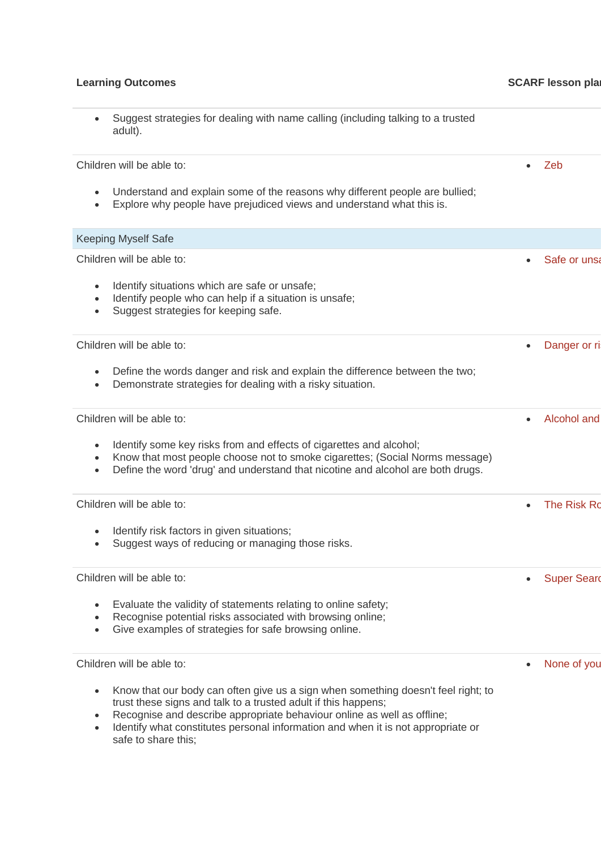### **Learning Outcomes CONSIDERENT CONSIDERED ASSESSED FOR A SCARF lesson plans**

### • Suggest strategies for dealing with name calling (including talking to a trusted adult).

Children will be able to:

- Understand and explain some of the reasons why different people are bullied;
- Explore why people have prejudiced views and understand what this is.

# Keeping Myself Safe Children will be able to: Identify situations which are safe or unsafe; • Identify people who can help if a situation is unsafe; • Suggest strategies for keeping safe. Safe or unsa Children will be able to: • Define the words danger and risk and explain the difference between the two; • Demonstrate strategies for dealing with a risky situation. Danger or ri Children will be able to: Identify some key risks from and effects of cigarettes and alcohol; • Know that most people choose not to smoke cigarettes; (Social Norms message) • Define the word 'drug' and understand that nicotine and alcohol are both drugs. Alcohol and Children will be able to: Identify risk factors in given situations; Suggest ways of reducing or managing those risks. • The Risk Ro Children will be able to: Evaluate the validity of statements relating to online safety; • Recognise potential risks associated with browsing online; Give examples of strategies for safe browsing online. • Super Seard Children will be able to: • Know that our body can often give us a sign when something doesn't feel right; to trust these signs and talk to a trusted adult if this happens; Recognise and describe appropriate behaviour online as well as offline; None of you

• Identify what constitutes personal information and when it is not appropriate or safe to share this;

• [Zeb](https://www.coramlifeeducation.org.uk/scarf/lesson-plans/zeb)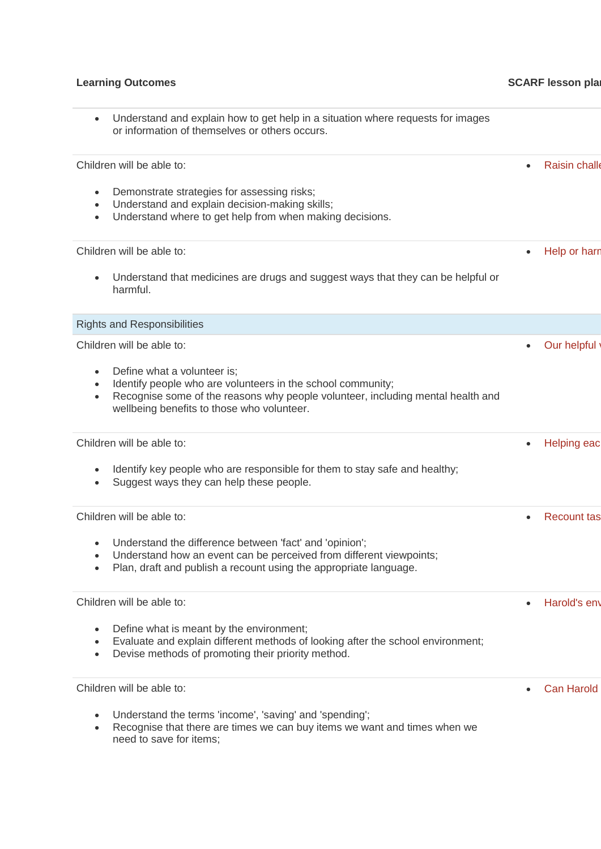| Understand and explain how to get help in a situation where requests for images<br>$\bullet$<br>or information of themselves or others occurs.                                                                                           |           |                      |
|------------------------------------------------------------------------------------------------------------------------------------------------------------------------------------------------------------------------------------------|-----------|----------------------|
| Children will be able to:                                                                                                                                                                                                                | $\bullet$ | <b>Raisin challe</b> |
| Demonstrate strategies for assessing risks;<br>$\bullet$<br>Understand and explain decision-making skills;<br>$\bullet$<br>Understand where to get help from when making decisions.<br>$\bullet$                                         |           |                      |
| Children will be able to:                                                                                                                                                                                                                | $\bullet$ | Help or harn         |
| Understand that medicines are drugs and suggest ways that they can be helpful or<br>harmful.                                                                                                                                             |           |                      |
| <b>Rights and Responsibilities</b>                                                                                                                                                                                                       |           |                      |
| Children will be able to:                                                                                                                                                                                                                | ٠         | Our helpful          |
| Define what a volunteer is;<br>Identify people who are volunteers in the school community;<br>Recognise some of the reasons why people volunteer, including mental health and<br>$\bullet$<br>wellbeing benefits to those who volunteer. |           |                      |
| Children will be able to:                                                                                                                                                                                                                | ٠         | <b>Helping eac</b>   |
| Identify key people who are responsible for them to stay safe and healthy;<br>Suggest ways they can help these people.                                                                                                                   |           |                      |
| Children will be able to:                                                                                                                                                                                                                | $\bullet$ | <b>Recount tas</b>   |
| Understand the difference between 'fact' and 'opinion';<br>Understand how an event can be perceived from different viewpoints;<br>$\bullet$<br>Plan, draft and publish a recount using the appropriate language.                         |           |                      |
| Children will be able to:                                                                                                                                                                                                                | $\bullet$ | Harold's env         |
| Define what is meant by the environment;<br>Evaluate and explain different methods of looking after the school environment;<br>$\bullet$<br>Devise methods of promoting their priority method.<br>$\bullet$                              |           |                      |
| Children will be able to:                                                                                                                                                                                                                |           | <b>Can Harold</b>    |
| Understand the terms 'income', 'saving' and 'spending';<br>Recognise that there are times we can buy items we want and times when we<br>need to save for items;                                                                          |           |                      |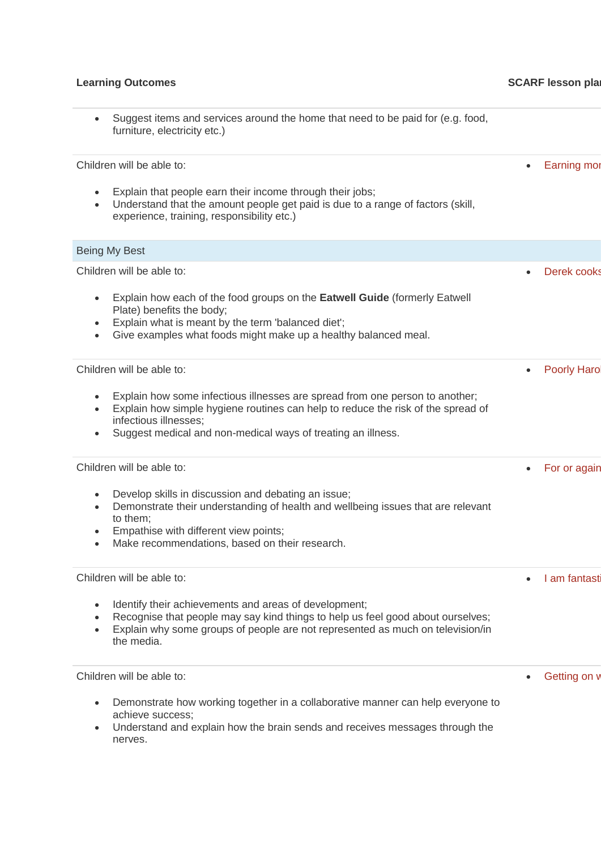### **Learning Outcomes CONSIDERENT CONSIDERED ASSESSED FOR A SCARF lesson plans**

Children will be able to:

- Explain that people earn their income through their jobs;
- Understand that the amount people get paid is due to a range of factors (skill, experience, training, responsibility etc.)

# Being My Best Children will be able to: • Explain how each of the food groups on the **Eatwell Guide** (formerly Eatwell Plate) benefits the body; • Explain what is meant by the term 'balanced diet'; • Give examples what foods might make up a healthy balanced meal. Derek cooks Children will be able to: • Explain how some infectious illnesses are spread from one person to another; • Explain how simple hygiene routines can help to reduce the risk of the spread of infectious illnesses; Suggest medical and non-medical ways of treating an illness. Poorly Haro Children will be able to: • Develop skills in discussion and debating an issue; • Demonstrate their understanding of health and wellbeing issues that are relevant to them; • For or again

- Empathise with different view points;
- Make recommendations, based on their research.

Children will be able to:

- Identify their achievements and areas of development;
- Recognise that people may say kind things to help us feel good about ourselves;
- Explain why some groups of people are not represented as much on television/in the media.

Children will be able to:

- Demonstrate how working together in a collaborative manner can help everyone to achieve success;
- Understand and explain how the brain sends and receives messages through the nerves.

**Earning mon** 

Getting on **v** 

• I am fantast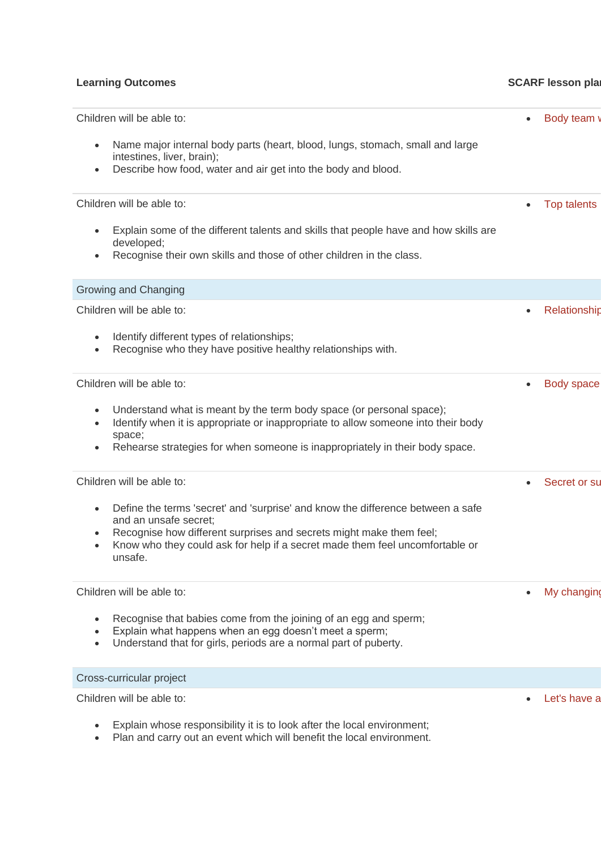## **Learning Outcomes CONSIDERENT SCARF lesson plans SCARF** lesson plans

| Children will be able to:                                                                                                                                                                                                                                                                                         | $\bullet$ | Body team          |
|-------------------------------------------------------------------------------------------------------------------------------------------------------------------------------------------------------------------------------------------------------------------------------------------------------------------|-----------|--------------------|
| Name major internal body parts (heart, blood, lungs, stomach, small and large<br>$\bullet$<br>intestines, liver, brain);<br>Describe how food, water and air get into the body and blood.<br>$\bullet$                                                                                                            |           |                    |
| Children will be able to:                                                                                                                                                                                                                                                                                         | $\bullet$ | <b>Top talents</b> |
| Explain some of the different talents and skills that people have and how skills are<br>$\bullet$<br>developed;<br>Recognise their own skills and those of other children in the class.<br>$\bullet$                                                                                                              |           |                    |
| Growing and Changing                                                                                                                                                                                                                                                                                              |           |                    |
| Children will be able to:                                                                                                                                                                                                                                                                                         | $\bullet$ | Relationship       |
| Identify different types of relationships;<br>$\bullet$<br>Recognise who they have positive healthy relationships with.<br>$\bullet$                                                                                                                                                                              |           |                    |
| Children will be able to:                                                                                                                                                                                                                                                                                         | $\bullet$ | <b>Body space</b>  |
| Understand what is meant by the term body space (or personal space);<br>$\bullet$<br>Identify when it is appropriate or inappropriate to allow someone into their body<br>$\bullet$<br>space;<br>Rehearse strategies for when someone is inappropriately in their body space.<br>$\bullet$                        |           |                    |
| Children will be able to:                                                                                                                                                                                                                                                                                         |           | Secret or su       |
| Define the terms 'secret' and 'surprise' and know the difference between a safe<br>$\bullet$<br>and an unsafe secret;<br>Recognise how different surprises and secrets might make them feel;<br>$\bullet$<br>Know who they could ask for help if a secret made them feel uncomfortable or<br>$\bullet$<br>unsafe. |           |                    |
| Children will be able to:                                                                                                                                                                                                                                                                                         | $\bullet$ | My changing        |
| Recognise that babies come from the joining of an egg and sperm;<br>$\bullet$<br>Explain what happens when an egg doesn't meet a sperm;<br>$\bullet$<br>Understand that for girls, periods are a normal part of puberty.<br>$\bullet$                                                                             |           |                    |
| Cross-curricular project                                                                                                                                                                                                                                                                                          |           |                    |
| Children will be able to:                                                                                                                                                                                                                                                                                         |           | Let's have a       |

- Explain whose responsibility it is to look after the local environment;
- Plan and carry out an event which will benefit the local environment.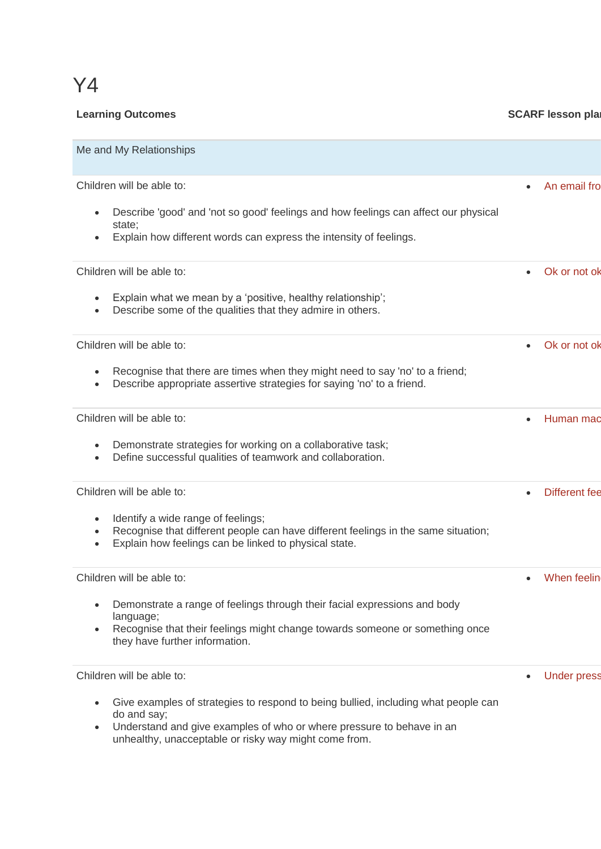# Y4

# **Learning Outcomes CONSIDER 1999 CONSIDER 1999 SCARF lesson plans**

| Me and My Relationships                                                                                                                                                                                                                                                            |                                   |
|------------------------------------------------------------------------------------------------------------------------------------------------------------------------------------------------------------------------------------------------------------------------------------|-----------------------------------|
| Children will be able to:<br>Describe 'good' and 'not so good' feelings and how feelings can affect our physical<br>$\bullet$<br>state;<br>Explain how different words can express the intensity of feelings.<br>$\bullet$                                                         | An email fro<br>$\bullet$         |
| Children will be able to:<br>Explain what we mean by a 'positive, healthy relationship';<br>$\bullet$<br>Describe some of the qualities that they admire in others.<br>$\bullet$                                                                                                   | Ok or not ok                      |
| Children will be able to:<br>Recognise that there are times when they might need to say 'no' to a friend;<br>$\bullet$<br>Describe appropriate assertive strategies for saying 'no' to a friend.<br>$\bullet$                                                                      | Ok or not ok<br>$\bullet$         |
| Children will be able to:<br>Demonstrate strategies for working on a collaborative task;<br>$\bullet$<br>Define successful qualities of teamwork and collaboration.<br>$\bullet$                                                                                                   | Human mac<br>$\bullet$            |
| Children will be able to:<br>Identify a wide range of feelings;<br>$\bullet$<br>Recognise that different people can have different feelings in the same situation;<br>$\bullet$<br>Explain how feelings can be linked to physical state.<br>$\bullet$                              | <b>Different fee</b><br>$\bullet$ |
| Children will be able to:<br>Demonstrate a range of feelings through their facial expressions and body<br>language;<br>Recognise that their feelings might change towards someone or something once<br>$\bullet$<br>they have further information.                                 | When feelin                       |
| Children will be able to:<br>Give examples of strategies to respond to being bullied, including what people can<br>٠<br>do and say;<br>Understand and give examples of who or where pressure to behave in an<br>$\bullet$<br>unhealthy, unacceptable or risky way might come from. | <b>Under press</b>                |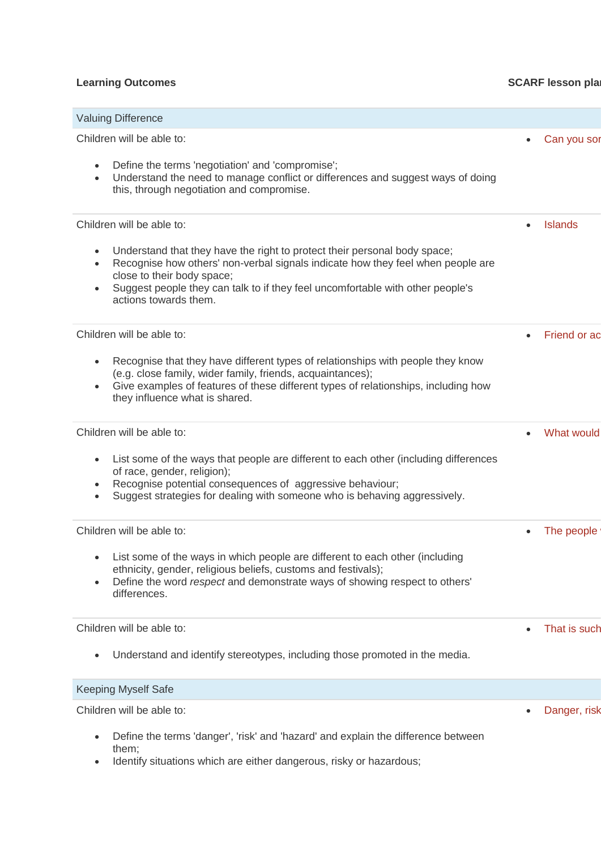# **Learning Outcomes CONSIDERENT SCARF lesson plans SCARF** lesson plans

| <b>Valuing Difference</b>                                                                                                                                                                                                                                                                                                       |                             |
|---------------------------------------------------------------------------------------------------------------------------------------------------------------------------------------------------------------------------------------------------------------------------------------------------------------------------------|-----------------------------|
| Children will be able to:                                                                                                                                                                                                                                                                                                       | Can you sor<br>$\bullet$    |
| Define the terms 'negotiation' and 'compromise';<br>$\bullet$<br>Understand the need to manage conflict or differences and suggest ways of doing<br>$\bullet$<br>this, through negotiation and compromise.                                                                                                                      |                             |
| Children will be able to:                                                                                                                                                                                                                                                                                                       | <b>Islands</b><br>$\bullet$ |
| Understand that they have the right to protect their personal body space;<br>$\bullet$<br>Recognise how others' non-verbal signals indicate how they feel when people are<br>close to their body space;<br>Suggest people they can talk to if they feel uncomfortable with other people's<br>$\bullet$<br>actions towards them. |                             |
| Children will be able to:                                                                                                                                                                                                                                                                                                       | Friend or ac                |
| Recognise that they have different types of relationships with people they know<br>$\bullet$<br>(e.g. close family, wider family, friends, acquaintances);<br>Give examples of features of these different types of relationships, including how<br>$\bullet$<br>they influence what is shared.                                 |                             |
| Children will be able to:                                                                                                                                                                                                                                                                                                       | What would                  |
| List some of the ways that people are different to each other (including differences<br>$\bullet$<br>of race, gender, religion);<br>Recognise potential consequences of aggressive behaviour;<br>$\bullet$<br>Suggest strategies for dealing with someone who is behaving aggressively.<br>$\bullet$                            |                             |
| Children will be able to:                                                                                                                                                                                                                                                                                                       | The people<br>$\bullet$     |
| • List some of the ways in which people are different to each other (including<br>ethnicity, gender, religious beliefs, customs and festivals);<br>Define the word respect and demonstrate ways of showing respect to others'<br>$\bullet$<br>differences.                                                                      |                             |
| Children will be able to:                                                                                                                                                                                                                                                                                                       | That is such<br>$\bullet$   |
| Understand and identify stereotypes, including those promoted in the media.<br>$\bullet$                                                                                                                                                                                                                                        |                             |
| <b>Keeping Myself Safe</b>                                                                                                                                                                                                                                                                                                      |                             |
| Children will be able to:                                                                                                                                                                                                                                                                                                       | Danger, risk                |
| Define the terms 'danger', 'risk' and 'hazard' and explain the difference between<br>$\bullet$<br>them;<br>dontify cityations which are either depensions ricky or hozardous:                                                                                                                                                   |                             |

• Identify situations which are either dangerous, risky or hazardous;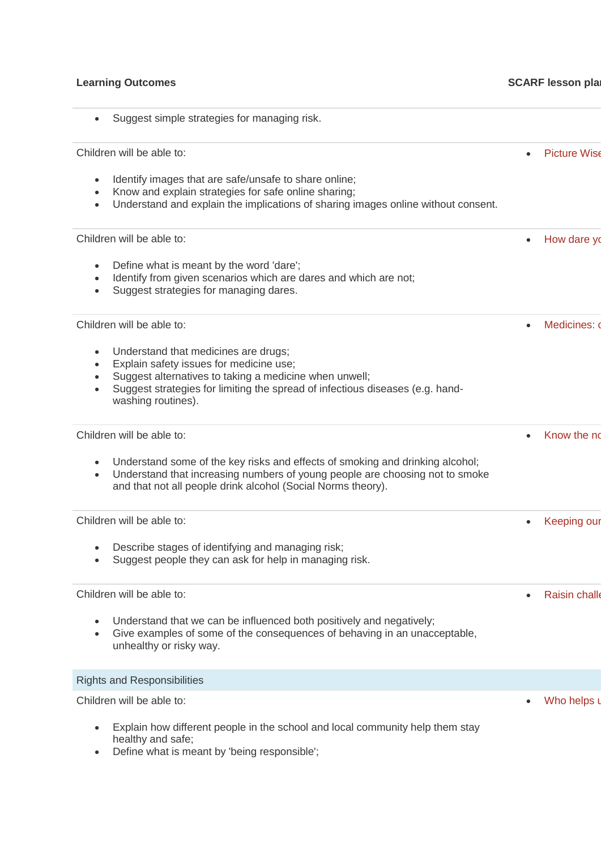# **Learning Outcomes CONSIDERENT SCARF lesson plans SCARF** lesson plans

| Suggest simple strategies for managing risk.                                                                                                                                                                                                                  |                          |
|---------------------------------------------------------------------------------------------------------------------------------------------------------------------------------------------------------------------------------------------------------------|--------------------------|
| Children will be able to:                                                                                                                                                                                                                                     | <b>Picture Wise</b>      |
| Identify images that are safe/unsafe to share online;<br>Know and explain strategies for safe online sharing;<br>Understand and explain the implications of sharing images online without consent.                                                            |                          |
| Children will be able to:                                                                                                                                                                                                                                     | How dare yo              |
| Define what is meant by the word 'dare';<br>$\bullet$<br>Identify from given scenarios which are dares and which are not;<br>Suggest strategies for managing dares.<br>$\bullet$                                                                              |                          |
| Children will be able to:                                                                                                                                                                                                                                     | Medicines: o             |
| Understand that medicines are drugs;<br>$\bullet$<br>Explain safety issues for medicine use;<br>Suggest alternatives to taking a medicine when unwell;<br>Suggest strategies for limiting the spread of infectious diseases (e.g. hand-<br>washing routines). |                          |
| Children will be able to:                                                                                                                                                                                                                                     | Know the no<br>$\bullet$ |
| Understand some of the key risks and effects of smoking and drinking alcohol;<br>$\bullet$<br>Understand that increasing numbers of young people are choosing not to smoke<br>$\bullet$<br>and that not all people drink alcohol (Social Norms theory).       |                          |
| Children will be able to:                                                                                                                                                                                                                                     | Keeping our              |
| Describe stages of identifying and managing risk;<br>Suggest people they can ask for help in managing risk.                                                                                                                                                   |                          |
| Children will be able to:                                                                                                                                                                                                                                     | <b>Raisin challe</b>     |
| Understand that we can be influenced both positively and negatively;<br>Give examples of some of the consequences of behaving in an unacceptable,<br>unhealthy or risky way.                                                                                  |                          |
| <b>Rights and Responsibilities</b>                                                                                                                                                                                                                            |                          |
| Children will be able to:                                                                                                                                                                                                                                     | Who helps u              |
| Explain how different people in the school and local community help them stay<br>$\bullet$<br>healthy and safe;                                                                                                                                               |                          |

• Define what is meant by 'being responsible';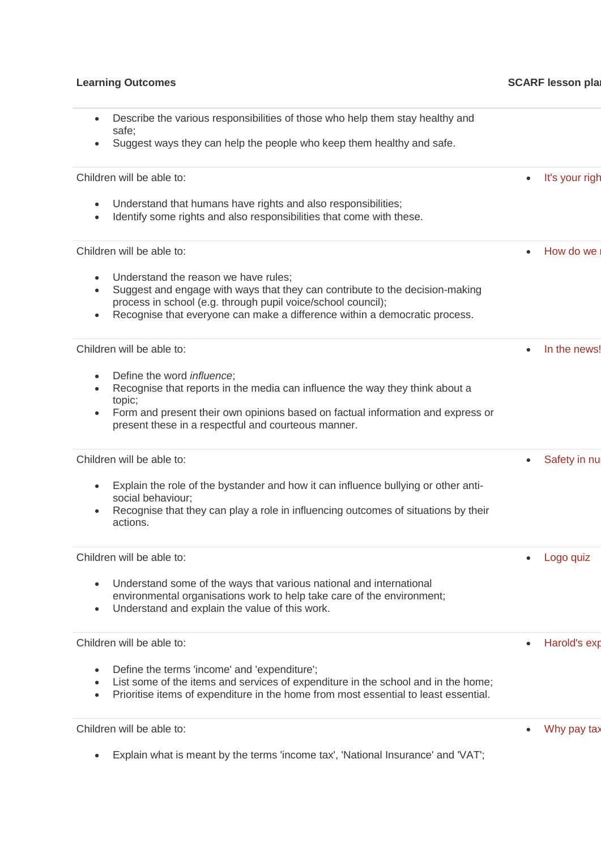# **Learning Outcomes CONSIDERENT CONSIDERED ASSESSED FOR A SCARF lesson plans** • Describe the various responsibilities of those who help them stay healthy and safe; • Suggest ways they can help the people who keep them healthy and safe. Children will be able to: Understand that humans have rights and also responsibilities; • Identify some rights and also responsibilities that come with these. [It's your right](https://www.coramlifeeducation.org.uk/scarf/lesson-plans/its-your-right) Children will be able to: Understand the reason we have rules: • Suggest and engage with ways that they can contribute to the decision-making process in school (e.g. through pupil voice/school council); • Recognise that everyone can make a difference within a democratic process. How do we Children will be able to: • Define the word *influence*; • Recognise that reports in the media can influence the way they think about a topic; • Form and present their own opinions based on factual information and express or present these in a respectful and courteous manner. • [In the news!](https://www.coramlifeeducation.org.uk/scarf/lesson-plans/in-the-news) Children will be able to: • Explain the role of the bystander and how it can influence bullying or other antisocial behaviour; • Recognise that they can play a role in influencing outcomes of situations by their actions. Safety in nu Children will be able to: • Understand some of the ways that various national and international environmental organisations work to help take care of the environment; • Understand and explain the value of this work. • [Logo quiz](https://www.coramlifeeducation.org.uk/scarf/lesson-plans/logo-quiz) Children will be able to: • Define the terms 'income' and 'expenditure'; List some of the items and services of expenditure in the school and in the home: • Prioritise items of expenditure in the home from most essential to least essential. • Harold's exp Children will be able to: Why pay tax

• Explain what is meant by the terms 'income tax', 'National Insurance' and 'VAT';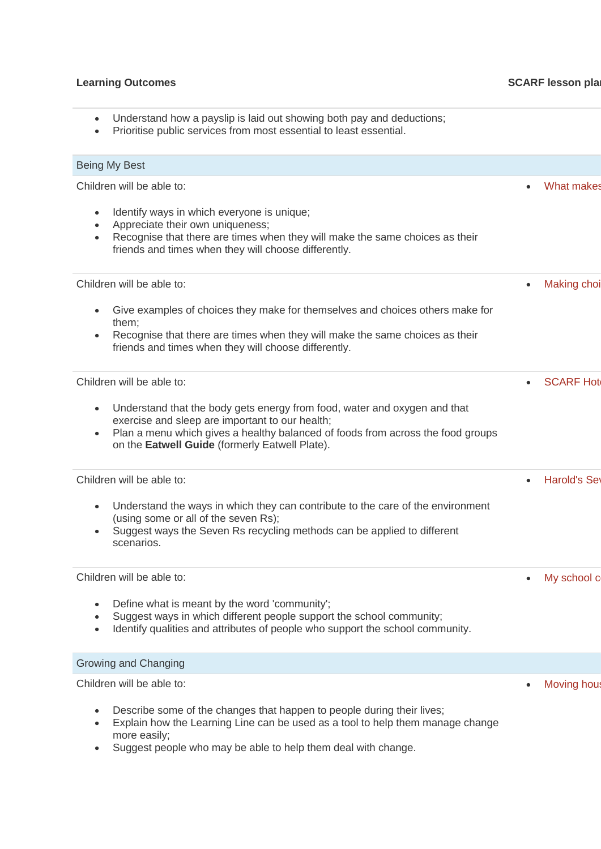# **Learning Outcomes CONSIDERENT CONSIDERED ASSESSED FOR A SCARF lesson plans** • Understand how a payslip is laid out showing both pay and deductions; • Prioritise public services from most essential to least essential. Being My Best Children will be able to: Identify ways in which everyone is unique; • Appreciate their own uniqueness; • Recognise that there are times when they will make the same choices as their friends and times when they will choose differently. What makes Children will be able to: • Give examples of choices they make for themselves and choices others make for them; • Recognise that there are times when they will make the same choices as their friends and times when they will choose differently. **Making choi** Children will be able to: • Understand that the body gets energy from food, water and oxygen and that exercise and sleep are important to our health; • Plan a menu which gives a healthy balanced of foods from across the food groups on the **Eatwell Guide** (formerly Eatwell Plate). **SCARF Hot** Children will be able to: • Understand the ways in which they can contribute to the care of the environment (using some or all of the seven Rs); • Suggest ways the Seven Rs recycling methods can be applied to different scenarios. **Harold's Set** Children will be able to: • Define what is meant by the word 'community'; Suggest ways in which different people support the school community: • Identify qualities and attributes of people who support the school community. My school c Growing and Changing Children will be able to: Describe some of the changes that happen to people during their lives; **[Moving house](https://www.coramlifeeducation.org.uk/scarf/lesson-plans/moving-house-1)**

- Explain how the Learning Line can be used as a tool to help them manage change more easily;
- Suggest people who may be able to help them deal with change.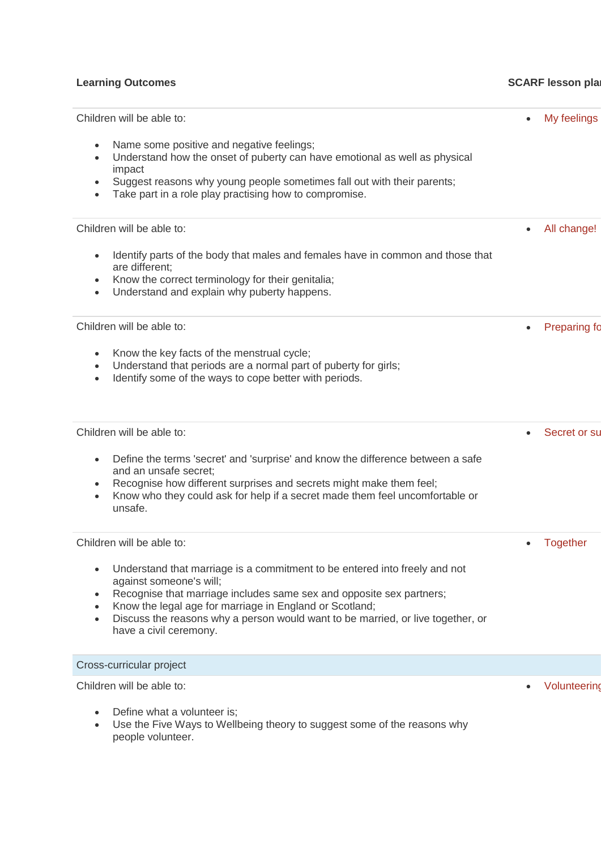# **Learning Outcomes CONSIDERENT SCARF lesson plans SCARF** lesson plans

| Children will be able to:<br>Name some positive and negative feelings;<br>Understand how the onset of puberty can have emotional as well as physical<br>impact<br>Suggest reasons why young people sometimes fall out with their parents;<br>Take part in a role play practising how to compromise.                                                                                | My feelings         |
|------------------------------------------------------------------------------------------------------------------------------------------------------------------------------------------------------------------------------------------------------------------------------------------------------------------------------------------------------------------------------------|---------------------|
| Children will be able to:<br>Identify parts of the body that males and females have in common and those that<br>are different;<br>Know the correct terminology for their genitalia;<br>Understand and explain why puberty happens.                                                                                                                                                 | All change!         |
| Children will be able to:<br>Know the key facts of the menstrual cycle;<br>Understand that periods are a normal part of puberty for girls;<br>Identify some of the ways to cope better with periods.                                                                                                                                                                               | <b>Preparing fo</b> |
| Children will be able to:<br>Define the terms 'secret' and 'surprise' and know the difference between a safe<br>and an unsafe secret;<br>Recognise how different surprises and secrets might make them feel;<br>Know who they could ask for help if a secret made them feel uncomfortable or<br>unsafe.                                                                            | Secret or su        |
| Children will be able to:<br>Understand that marriage is a commitment to be entered into freely and not<br>against someone's will;<br>Recognise that marriage includes same sex and opposite sex partners;<br>Know the legal age for marriage in England or Scotland;<br>Discuss the reasons why a person would want to be married, or live together, or<br>have a civil ceremony. | Together            |
| Cross-curricular project                                                                                                                                                                                                                                                                                                                                                           |                     |
| Children will be able to:<br>Define what a volunteer is;                                                                                                                                                                                                                                                                                                                           | Volunteering        |

• Use the Five Ways to Wellbeing theory to suggest some of the reasons why people volunteer.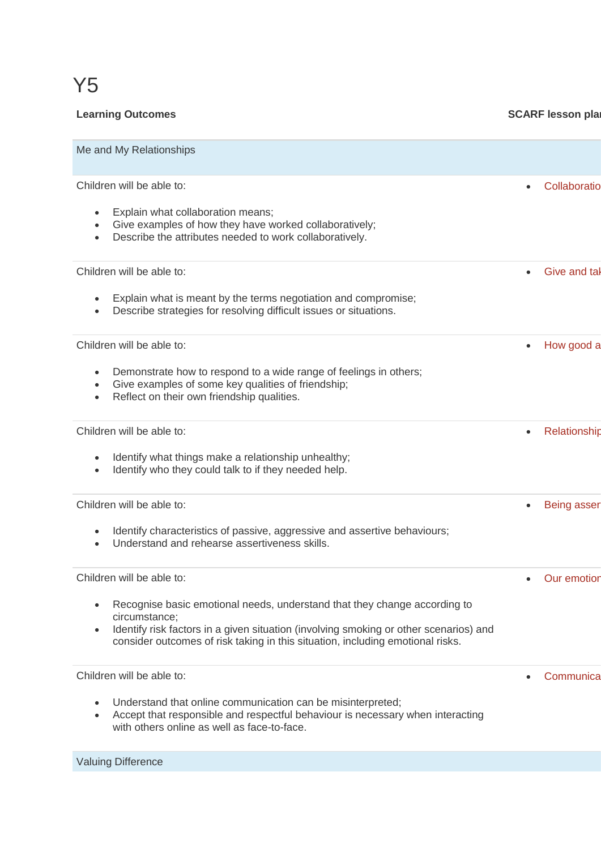# Y5

| <b>Learning Outcomes</b>                                                                                                                                                                                                                                                           | <b>SCARF lesson plan</b>  |
|------------------------------------------------------------------------------------------------------------------------------------------------------------------------------------------------------------------------------------------------------------------------------------|---------------------------|
| Me and My Relationships                                                                                                                                                                                                                                                            |                           |
| Children will be able to:                                                                                                                                                                                                                                                          | Collaboratio              |
| Explain what collaboration means;<br>Give examples of how they have worked collaboratively;<br>$\bullet$<br>Describe the attributes needed to work collaboratively.<br>$\bullet$                                                                                                   |                           |
| Children will be able to:                                                                                                                                                                                                                                                          | Give and tal              |
| Explain what is meant by the terms negotiation and compromise;<br>Describe strategies for resolving difficult issues or situations.<br>$\bullet$                                                                                                                                   |                           |
| Children will be able to:                                                                                                                                                                                                                                                          | How good a                |
| Demonstrate how to respond to a wide range of feelings in others;<br>$\bullet$<br>Give examples of some key qualities of friendship;<br>$\bullet$<br>Reflect on their own friendship qualities.<br>$\bullet$                                                                       |                           |
| Children will be able to:                                                                                                                                                                                                                                                          | Relationship<br>$\bullet$ |
| Identify what things make a relationship unhealthy;<br>Identify who they could talk to if they needed help.<br>$\bullet$                                                                                                                                                           |                           |
| Children will be able to:                                                                                                                                                                                                                                                          | Being asser               |
| Identify characteristics of passive, aggressive and assertive behaviours;<br>Understand and rehearse assertiveness skills.<br>$\bullet$                                                                                                                                            |                           |
| Children will be able to:                                                                                                                                                                                                                                                          | Our emotion               |
| Recognise basic emotional needs, understand that they change according to<br>circumstance;<br>Identify risk factors in a given situation (involving smoking or other scenarios) and<br>$\bullet$<br>consider outcomes of risk taking in this situation, including emotional risks. |                           |
| Children will be able to:                                                                                                                                                                                                                                                          | Communica                 |
| Understand that online communication can be misinterpreted;<br>Accept that responsible and respectful behaviour is necessary when interacting<br>$\bullet$<br>with others online as well as face-to-face.                                                                          |                           |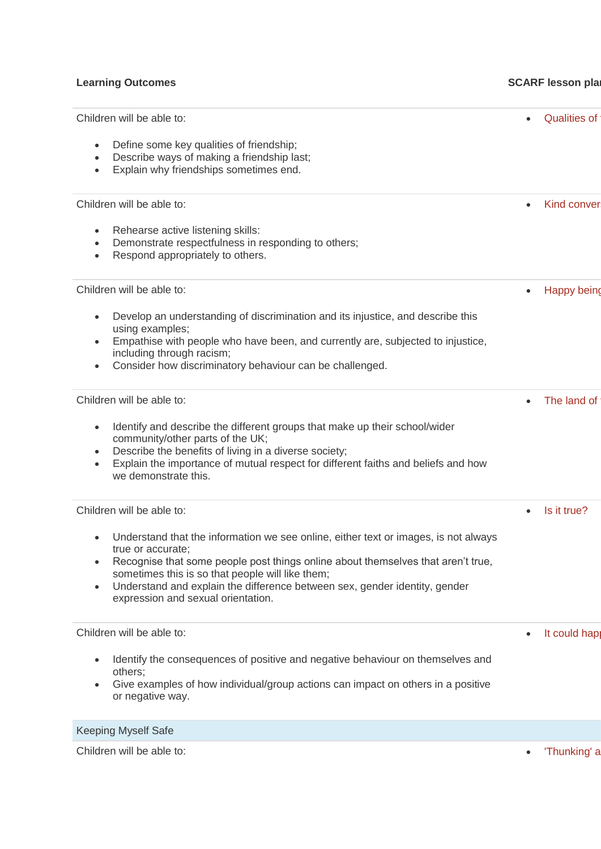| Children will be able to:                                                                                                                                                                                                                                                                                                                                                                      | <b>Qualities of</b>       |
|------------------------------------------------------------------------------------------------------------------------------------------------------------------------------------------------------------------------------------------------------------------------------------------------------------------------------------------------------------------------------------------------|---------------------------|
| Define some key qualities of friendship;<br>$\bullet$<br>Describe ways of making a friendship last;<br>$\bullet$<br>Explain why friendships sometimes end.<br>$\bullet$                                                                                                                                                                                                                        |                           |
| Children will be able to:                                                                                                                                                                                                                                                                                                                                                                      | Kind conver<br>$\bullet$  |
| Rehearse active listening skills:<br>$\bullet$<br>Demonstrate respectfulness in responding to others;<br>$\bullet$<br>Respond appropriately to others.<br>$\bullet$                                                                                                                                                                                                                            |                           |
| Children will be able to:                                                                                                                                                                                                                                                                                                                                                                      | Happy being<br>$\bullet$  |
| Develop an understanding of discrimination and its injustice, and describe this<br>using examples;<br>Empathise with people who have been, and currently are, subjected to injustice,<br>including through racism;<br>Consider how discriminatory behaviour can be challenged.                                                                                                                 |                           |
| Children will be able to:                                                                                                                                                                                                                                                                                                                                                                      | The land of               |
| Identify and describe the different groups that make up their school/wider<br>$\bullet$<br>community/other parts of the UK;<br>Describe the benefits of living in a diverse society;<br>$\bullet$<br>Explain the importance of mutual respect for different faiths and beliefs and how<br>$\bullet$<br>we demonstrate this.                                                                    |                           |
| Children will be able to:                                                                                                                                                                                                                                                                                                                                                                      | Is it true?               |
| Understand that the information we see online, either text or images, is not always<br>true or accurate;<br>Recognise that some people post things online about themselves that aren't true,<br>$\bullet$<br>sometimes this is so that people will like them;<br>Understand and explain the difference between sex, gender identity, gender<br>$\bullet$<br>expression and sexual orientation. |                           |
| Children will be able to:                                                                                                                                                                                                                                                                                                                                                                      | It could hap<br>$\bullet$ |
| Identify the consequences of positive and negative behaviour on themselves and<br>others;<br>Give examples of how individual/group actions can impact on others in a positive<br>or negative way.                                                                                                                                                                                              |                           |
| <b>Keeping Myself Safe</b>                                                                                                                                                                                                                                                                                                                                                                     |                           |
| Children will be able to:                                                                                                                                                                                                                                                                                                                                                                      | 'Thunking' a<br>$\bullet$ |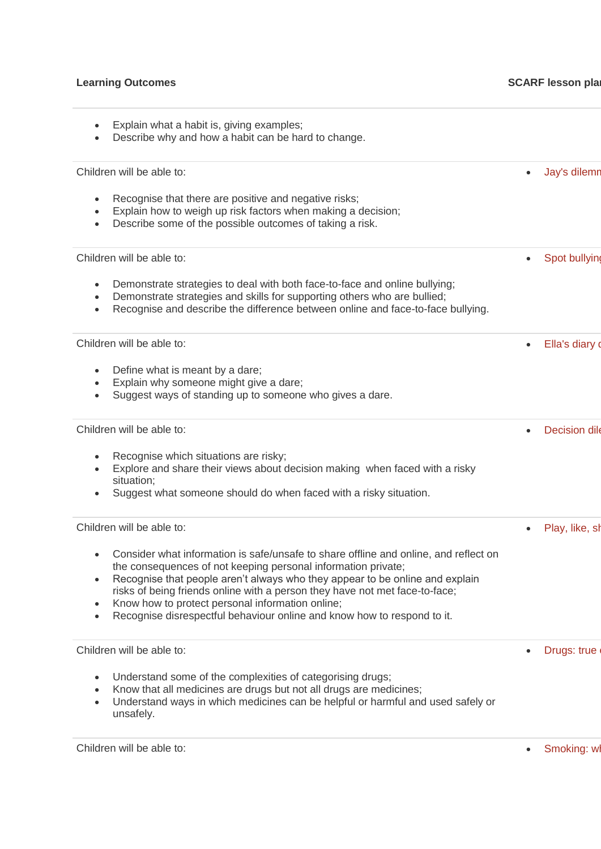| Explain what a habit is, giving examples;<br>Describe why and how a habit can be hard to change.                                                                                                                                                                                                                                                                                                                                                                              |                      |
|-------------------------------------------------------------------------------------------------------------------------------------------------------------------------------------------------------------------------------------------------------------------------------------------------------------------------------------------------------------------------------------------------------------------------------------------------------------------------------|----------------------|
| Children will be able to:                                                                                                                                                                                                                                                                                                                                                                                                                                                     | Jay's dilemn         |
| Recognise that there are positive and negative risks;<br>$\bullet$<br>Explain how to weigh up risk factors when making a decision;<br>$\bullet$<br>Describe some of the possible outcomes of taking a risk.<br>$\bullet$                                                                                                                                                                                                                                                      |                      |
| Children will be able to:                                                                                                                                                                                                                                                                                                                                                                                                                                                     | Spot bullying        |
| Demonstrate strategies to deal with both face-to-face and online bullying;<br>$\bullet$<br>Demonstrate strategies and skills for supporting others who are bullied;<br>$\bullet$<br>Recognise and describe the difference between online and face-to-face bullying.<br>$\bullet$                                                                                                                                                                                              |                      |
| Children will be able to:                                                                                                                                                                                                                                                                                                                                                                                                                                                     | Ella's diary o       |
| Define what is meant by a dare;<br>$\bullet$<br>Explain why someone might give a dare;<br>$\bullet$<br>Suggest ways of standing up to someone who gives a dare.<br>$\bullet$                                                                                                                                                                                                                                                                                                  |                      |
| Children will be able to:                                                                                                                                                                                                                                                                                                                                                                                                                                                     | <b>Decision dile</b> |
| Recognise which situations are risky;<br>Explore and share their views about decision making when faced with a risky<br>situation;<br>Suggest what someone should do when faced with a risky situation.                                                                                                                                                                                                                                                                       |                      |
| Children will be able to:                                                                                                                                                                                                                                                                                                                                                                                                                                                     | Play, like, sh       |
| Consider what information is safe/unsafe to share offline and online, and reflect on<br>the consequences of not keeping personal information private;<br>Recognise that people aren't always who they appear to be online and explain<br>risks of being friends online with a person they have not met face-to-face;<br>Know how to protect personal information online;<br>$\bullet$<br>Recognise disrespectful behaviour online and know how to respond to it.<br>$\bullet$ |                      |
| Children will be able to:                                                                                                                                                                                                                                                                                                                                                                                                                                                     | Drugs: true          |
| Understand some of the complexities of categorising drugs;<br>$\bullet$<br>Know that all medicines are drugs but not all drugs are medicines;<br>$\bullet$<br>Understand ways in which medicines can be helpful or harmful and used safely or<br>$\bullet$<br>unsafely.                                                                                                                                                                                                       |                      |
|                                                                                                                                                                                                                                                                                                                                                                                                                                                                               |                      |

Children will be able to: **• Smoking: what is not is not is not is not is not is not is not is not is not is not is not is not if**  $\bullet$  **Smoking: w**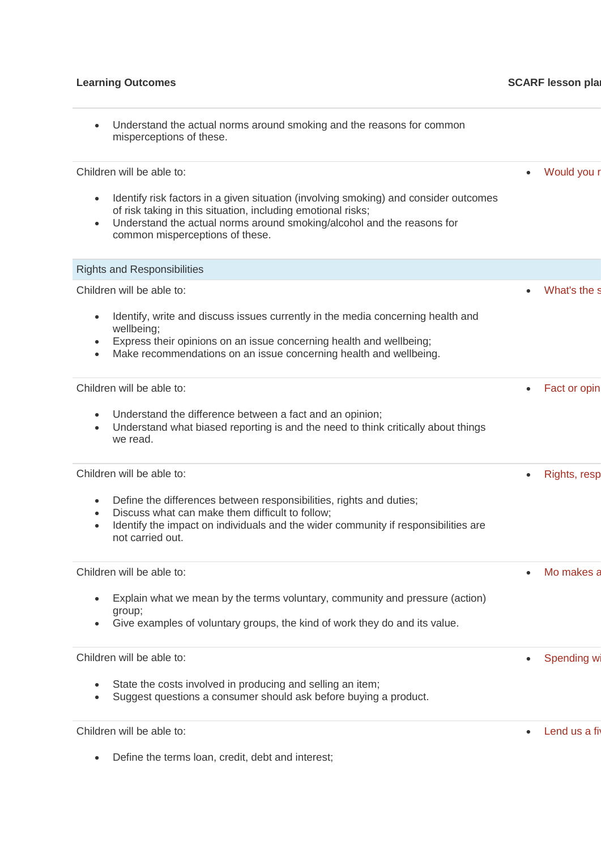| Understand the actual norms around smoking and the reasons for common<br>misperceptions of these.                                                                                                                                                                                                           |                           |
|-------------------------------------------------------------------------------------------------------------------------------------------------------------------------------------------------------------------------------------------------------------------------------------------------------------|---------------------------|
| Children will be able to:<br>Identify risk factors in a given situation (involving smoking) and consider outcomes<br>of risk taking in this situation, including emotional risks;<br>Understand the actual norms around smoking/alcohol and the reasons for<br>$\bullet$<br>common misperceptions of these. | Would you r<br>$\bullet$  |
| <b>Rights and Responsibilities</b>                                                                                                                                                                                                                                                                          |                           |
| Children will be able to:<br>Identify, write and discuss issues currently in the media concerning health and<br>wellbeing;<br>Express their opinions on an issue concerning health and wellbeing;<br>Make recommendations on an issue concerning health and wellbeing.                                      | What's the s              |
| Children will be able to:<br>Understand the difference between a fact and an opinion;<br>Understand what biased reporting is and the need to think critically about things<br>we read.                                                                                                                      | Fact or opin<br>$\bullet$ |
| Children will be able to:<br>Define the differences between responsibilities, rights and duties;<br>$\bullet$<br>Discuss what can make them difficult to follow;<br>$\bullet$<br>Identify the impact on individuals and the wider community if responsibilities are<br>$\bullet$<br>not carried out.        | Rights, resp              |
| Children will be able to:<br>Explain what we mean by the terms voluntary, community and pressure (action)<br>group;<br>Give examples of voluntary groups, the kind of work they do and its value.                                                                                                           | Mo makes a                |
| Children will be able to:<br>State the costs involved in producing and selling an item;<br>Suggest questions a consumer should ask before buying a product.<br>$\bullet$                                                                                                                                    | Spending wi<br>$\bullet$  |
| Children will be able to:                                                                                                                                                                                                                                                                                   | Lend us a fiv             |

• Define the terms loan, credit, debt and interest;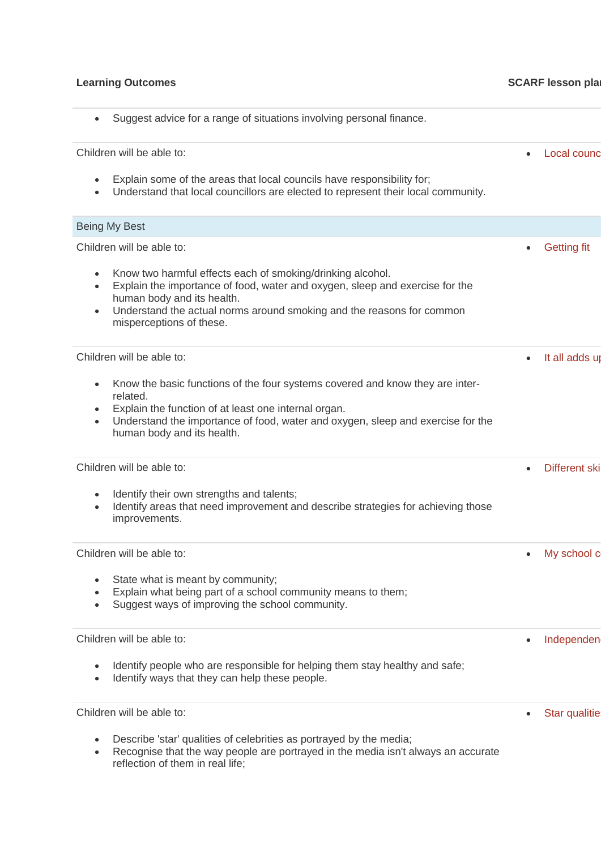| Suggest advice for a range of situations involving personal finance.<br>$\bullet$                                                                                                                                                                                                                       |                             |
|---------------------------------------------------------------------------------------------------------------------------------------------------------------------------------------------------------------------------------------------------------------------------------------------------------|-----------------------------|
| Children will be able to:                                                                                                                                                                                                                                                                               | Local counc                 |
| Explain some of the areas that local councils have responsibility for;<br>Understand that local councillors are elected to represent their local community.                                                                                                                                             |                             |
| Being My Best                                                                                                                                                                                                                                                                                           |                             |
| Children will be able to:                                                                                                                                                                                                                                                                               | <b>Getting fit</b>          |
| Know two harmful effects each of smoking/drinking alcohol.<br>$\bullet$<br>Explain the importance of food, water and oxygen, sleep and exercise for the<br>$\bullet$<br>human body and its health.<br>Understand the actual norms around smoking and the reasons for common<br>misperceptions of these. |                             |
| Children will be able to:                                                                                                                                                                                                                                                                               | It all adds up<br>$\bullet$ |
| Know the basic functions of the four systems covered and know they are inter-<br>related.<br>Explain the function of at least one internal organ.<br>Understand the importance of food, water and oxygen, sleep and exercise for the<br>$\bullet$<br>human body and its health.                         |                             |
| Children will be able to:                                                                                                                                                                                                                                                                               | Different ski               |
| Identify their own strengths and talents;<br>Identify areas that need improvement and describe strategies for achieving those<br>$\bullet$<br>improvements.                                                                                                                                             |                             |
| Children will be able to:                                                                                                                                                                                                                                                                               | My school c<br>$\bullet$    |
| State what is meant by community;<br>Explain what being part of a school community means to them;<br>Suggest ways of improving the school community.                                                                                                                                                    |                             |
| Children will be able to:                                                                                                                                                                                                                                                                               | Independen                  |
| Identify people who are responsible for helping them stay healthy and safe;<br>Identify ways that they can help these people.                                                                                                                                                                           |                             |
| Children will be able to:                                                                                                                                                                                                                                                                               | Star qualitie               |
| Describe 'star' qualities of celebrities as portrayed by the media;<br>$\bullet$<br>Recognise that the way people are portrayed in the media isn't always an accurate<br>reflection of them in real life;                                                                                               |                             |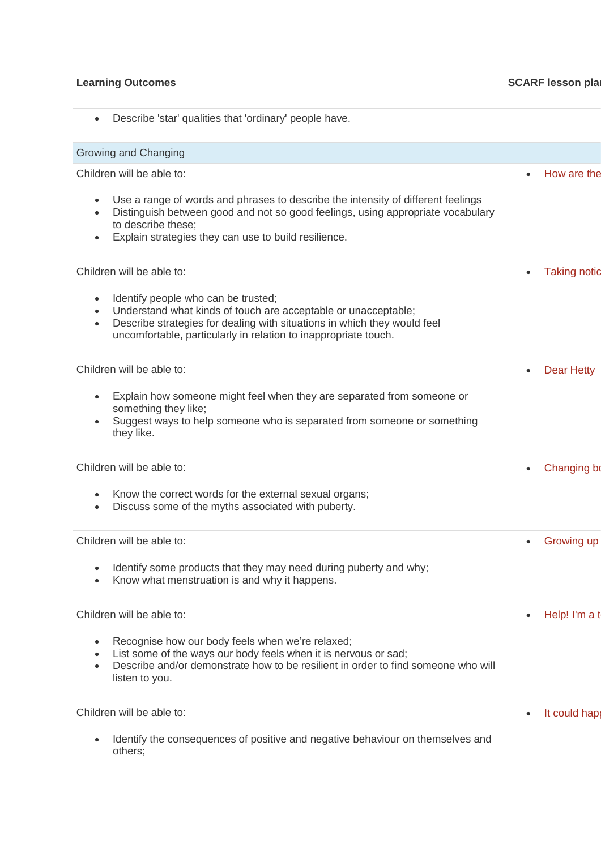| $\bullet$                           | Describe 'star' qualities that 'ordinary' people have.                                                                                                                                                                                               |           |                     |
|-------------------------------------|------------------------------------------------------------------------------------------------------------------------------------------------------------------------------------------------------------------------------------------------------|-----------|---------------------|
|                                     | Growing and Changing                                                                                                                                                                                                                                 |           |                     |
|                                     | Children will be able to:                                                                                                                                                                                                                            | $\bullet$ | How are the         |
| $\bullet$<br>$\bullet$              | Use a range of words and phrases to describe the intensity of different feelings<br>Distinguish between good and not so good feelings, using appropriate vocabulary<br>to describe these;<br>Explain strategies they can use to build resilience.    |           |                     |
|                                     | Children will be able to:                                                                                                                                                                                                                            | $\bullet$ | <b>Taking notic</b> |
| $\bullet$<br>$\bullet$<br>$\bullet$ | Identify people who can be trusted;<br>Understand what kinds of touch are acceptable or unacceptable;<br>Describe strategies for dealing with situations in which they would feel<br>uncomfortable, particularly in relation to inappropriate touch. |           |                     |
|                                     | Children will be able to:                                                                                                                                                                                                                            | $\bullet$ | <b>Dear Hetty</b>   |
| $\bullet$<br>$\bullet$              | Explain how someone might feel when they are separated from someone or<br>something they like;<br>Suggest ways to help someone who is separated from someone or something<br>they like.                                                              |           |                     |
|                                     | Children will be able to:                                                                                                                                                                                                                            | $\bullet$ | Changing bo         |
|                                     | Know the correct words for the external sexual organs;<br>Discuss some of the myths associated with puberty.                                                                                                                                         |           |                     |
|                                     | Children will be able to:                                                                                                                                                                                                                            | $\bullet$ | Growing up          |
|                                     | Identify some products that they may need during puberty and why;<br>Know what menstruation is and why it happens.                                                                                                                                   |           |                     |
|                                     | Children will be able to:                                                                                                                                                                                                                            | $\bullet$ | Help! I'm a t       |
| $\bullet$                           | Recognise how our body feels when we're relaxed;<br>List some of the ways our body feels when it is nervous or sad;<br>Describe and/or demonstrate how to be resilient in order to find someone who will<br>listen to you.                           |           |                     |
|                                     | Children will be able to:                                                                                                                                                                                                                            | $\bullet$ | It could hap        |
|                                     | Identify the consequences of positive and negative behaviour on themselves and<br>others;                                                                                                                                                            |           |                     |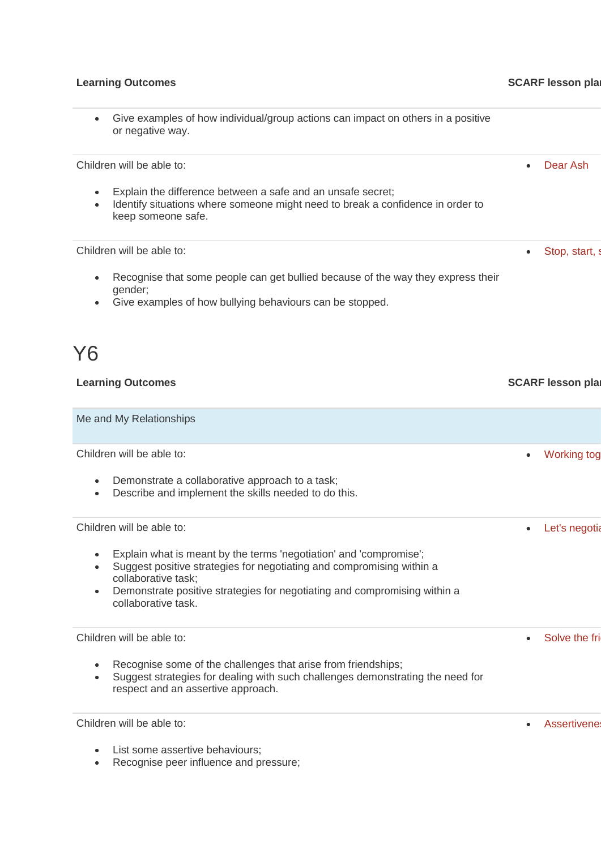### **Learning Outcomes SCARF lesson plans**

### • Give examples of how individual/group actions can impact on others in a positive or negative way.

Children will be able to:

- Explain the difference between a safe and an unsafe secret;
- Identify situations where someone might need to break a confidence in order to keep someone safe.

Children will be able to:

- Recognise that some people can get bullied because of the way they express their gender;
- Give examples of how bullying behaviours can be stopped.

# Y6

| <b>Learning Outcomes</b>                                                                                                                                                                                                                                                                                                      | <b>SCARF lesson plan</b>   |
|-------------------------------------------------------------------------------------------------------------------------------------------------------------------------------------------------------------------------------------------------------------------------------------------------------------------------------|----------------------------|
| Me and My Relationships                                                                                                                                                                                                                                                                                                       |                            |
| Children will be able to:<br>Demonstrate a collaborative approach to a task;<br>$\bullet$<br>Describe and implement the skills needed to do this.<br>$\bullet$                                                                                                                                                                | <b>Working tog</b>         |
| Children will be able to:<br>Explain what is meant by the terms 'negotiation' and 'compromise';<br>$\bullet$<br>Suggest positive strategies for negotiating and compromising within a<br>collaborative task;<br>Demonstrate positive strategies for negotiating and compromising within a<br>$\bullet$<br>collaborative task. | Let's negotia<br>$\bullet$ |
| Children will be able to:<br>Recognise some of the challenges that arise from friendships;<br>$\bullet$<br>Suggest strategies for dealing with such challenges demonstrating the need for<br>$\bullet$<br>respect and an assertive approach.                                                                                  | Solve the fri<br>$\bullet$ |
| Children will be able to:<br>List some assertive behaviours;<br>$\bullet$                                                                                                                                                                                                                                                     | Assertivenes<br>$\bullet$  |

• Recognise peer influence and pressure;

• [Dear Ash](https://www.coramlifeeducation.org.uk/scarf/lesson-plans/dear-ash-1)

Stop, start,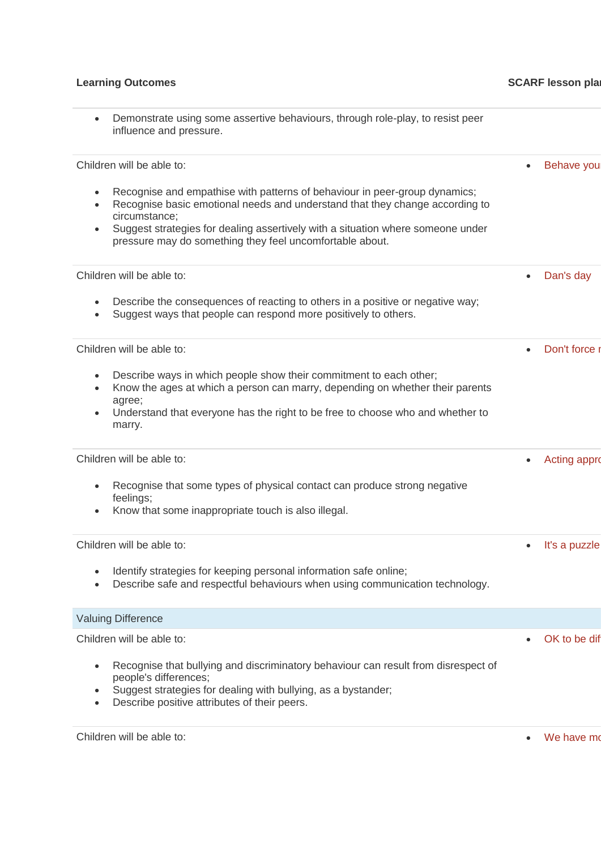| Demonstrate using some assertive behaviours, through role-play, to resist peer<br>influence and pressure.                                                                                                                                                                                                                  |                     |
|----------------------------------------------------------------------------------------------------------------------------------------------------------------------------------------------------------------------------------------------------------------------------------------------------------------------------|---------------------|
| Children will be able to:                                                                                                                                                                                                                                                                                                  | Behave you          |
| Recognise and empathise with patterns of behaviour in peer-group dynamics;<br>Recognise basic emotional needs and understand that they change according to<br>circumstance;<br>Suggest strategies for dealing assertively with a situation where someone under<br>pressure may do something they feel uncomfortable about. |                     |
| Children will be able to:                                                                                                                                                                                                                                                                                                  | Dan's day           |
| Describe the consequences of reacting to others in a positive or negative way;<br>$\bullet$<br>Suggest ways that people can respond more positively to others.<br>$\bullet$                                                                                                                                                |                     |
| Children will be able to:                                                                                                                                                                                                                                                                                                  | Don't force         |
| Describe ways in which people show their commitment to each other;<br>Know the ages at which a person can marry, depending on whether their parents<br>$\bullet$<br>agree;<br>Understand that everyone has the right to be free to choose who and whether to<br>marry.                                                     |                     |
| Children will be able to:                                                                                                                                                                                                                                                                                                  | <b>Acting appro</b> |
| Recognise that some types of physical contact can produce strong negative<br>feelings;<br>Know that some inappropriate touch is also illegal.<br>$\bullet$                                                                                                                                                                 |                     |
| Children will be able to:                                                                                                                                                                                                                                                                                                  | It's a puzzle       |
| Identify strategies for keeping personal information safe online;<br>Describe safe and respectful behaviours when using communication technology.                                                                                                                                                                          |                     |
| <b>Valuing Difference</b>                                                                                                                                                                                                                                                                                                  |                     |
| Children will be able to:                                                                                                                                                                                                                                                                                                  | OK to be dif        |
| Recognise that bullying and discriminatory behaviour can result from disrespect of<br>people's differences;<br>Suggest strategies for dealing with bullying, as a bystander;<br>Describe positive attributes of their peers.                                                                                               |                     |
| Children will be able to:                                                                                                                                                                                                                                                                                                  | We have mo          |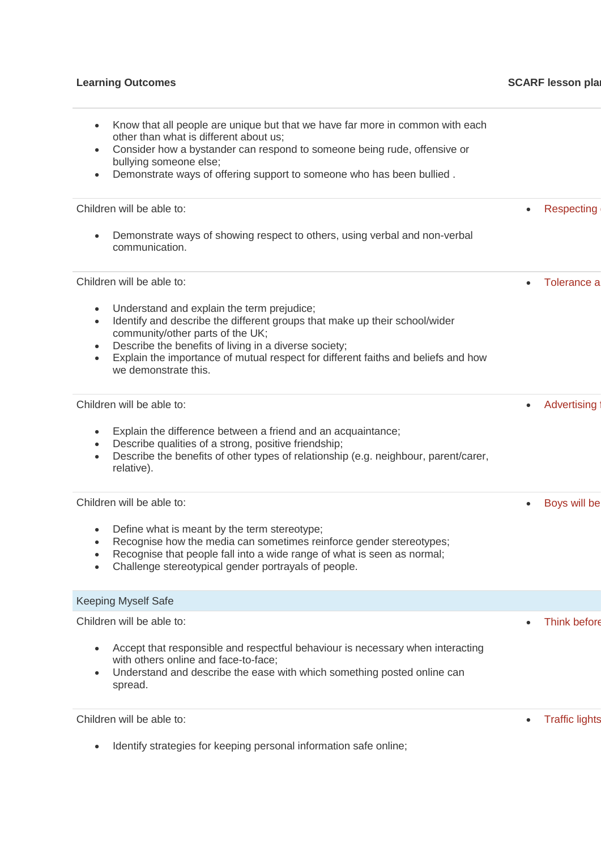|                                                | Know that all people are unique but that we have far more in common with each                                                                                                                                                                                                                              |                          |
|------------------------------------------------|------------------------------------------------------------------------------------------------------------------------------------------------------------------------------------------------------------------------------------------------------------------------------------------------------------|--------------------------|
|                                                | other than what is different about us;                                                                                                                                                                                                                                                                     |                          |
| $\bullet$<br>bullying someone else;            | Consider how a bystander can respond to someone being rude, offensive or                                                                                                                                                                                                                                   |                          |
| $\bullet$                                      | Demonstrate ways of offering support to someone who has been bullied.                                                                                                                                                                                                                                      |                          |
| Children will be able to:                      |                                                                                                                                                                                                                                                                                                            | Respecting               |
| communication.                                 | Demonstrate ways of showing respect to others, using verbal and non-verbal                                                                                                                                                                                                                                 |                          |
| Children will be able to:                      |                                                                                                                                                                                                                                                                                                            | Tolerance a<br>$\bullet$ |
| $\bullet$<br>$\bullet$<br>we demonstrate this. | Understand and explain the term prejudice;<br>Identify and describe the different groups that make up their school/wider<br>community/other parts of the UK;<br>Describe the benefits of living in a diverse society;<br>Explain the importance of mutual respect for different faiths and beliefs and how |                          |
| Children will be able to:                      |                                                                                                                                                                                                                                                                                                            | Advertising              |
| $\bullet$<br>relative).                        | Explain the difference between a friend and an acquaintance;<br>Describe qualities of a strong, positive friendship;<br>Describe the benefits of other types of relationship (e.g. neighbour, parent/carer,                                                                                                |                          |
| Children will be able to:                      |                                                                                                                                                                                                                                                                                                            | Boys will be             |
| $\bullet$<br>$\bullet$<br>$\bullet$            | Define what is meant by the term stereotype;<br>Recognise how the media can sometimes reinforce gender stereotypes;<br>Recognise that people fall into a wide range of what is seen as normal;<br>Challenge stereotypical gender portrayals of people.                                                     |                          |
| <b>Keeping Myself Safe</b>                     |                                                                                                                                                                                                                                                                                                            |                          |
| Children will be able to:                      |                                                                                                                                                                                                                                                                                                            | <b>Think before</b>      |
| $\bullet$<br>$\bullet$<br>spread.              | Accept that responsible and respectful behaviour is necessary when interacting<br>with others online and face-to-face;<br>Understand and describe the ease with which something posted online can                                                                                                          |                          |
| Children will be able to:                      |                                                                                                                                                                                                                                                                                                            | <b>Traffic lights</b>    |
|                                                |                                                                                                                                                                                                                                                                                                            |                          |

• Identify strategies for keeping personal information safe online;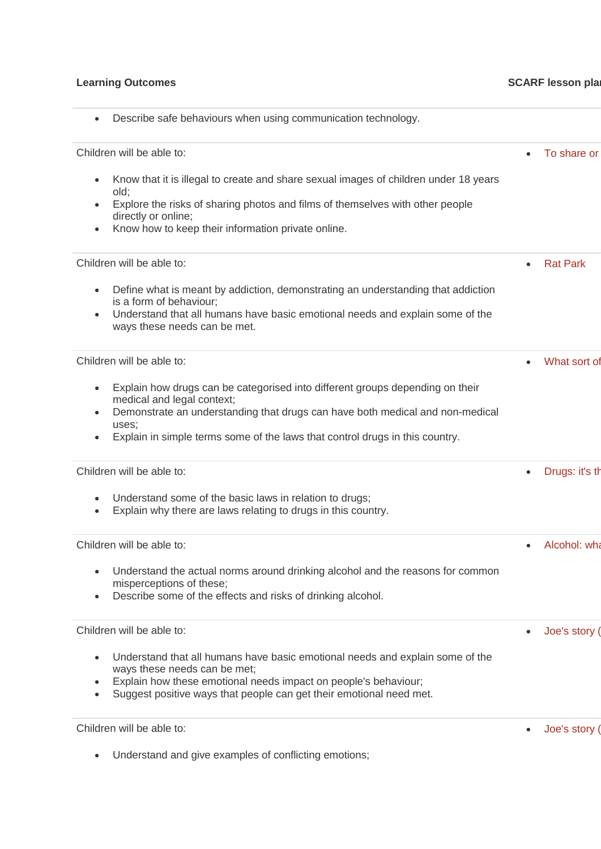| Describe safe behaviours when using communication technology.                                                                                                                                                                                                                         |                 |
|---------------------------------------------------------------------------------------------------------------------------------------------------------------------------------------------------------------------------------------------------------------------------------------|-----------------|
| Children will be able to:                                                                                                                                                                                                                                                             | To share or     |
| Know that it is illegal to create and share sexual images of children under 18 years<br>old;<br>Explore the risks of sharing photos and films of themselves with other people<br>directly or online;<br>Know how to keep their information private online.                            |                 |
| Children will be able to:                                                                                                                                                                                                                                                             | <b>Rat Park</b> |
| Define what is meant by addiction, demonstrating an understanding that addiction<br>is a form of behaviour;<br>Understand that all humans have basic emotional needs and explain some of the<br>ways these needs can be met.                                                          |                 |
| Children will be able to:                                                                                                                                                                                                                                                             | What sort of    |
| Explain how drugs can be categorised into different groups depending on their<br>medical and legal context;<br>Demonstrate an understanding that drugs can have both medical and non-medical<br>uses;<br>Explain in simple terms some of the laws that control drugs in this country. |                 |
| Children will be able to:                                                                                                                                                                                                                                                             | Drugs: it's th  |
| Understand some of the basic laws in relation to drugs;<br>Explain why there are laws relating to drugs in this country.                                                                                                                                                              |                 |
| Children will be able to:                                                                                                                                                                                                                                                             | Alcohol: wha    |
| Understand the actual norms around drinking alcohol and the reasons for common<br>misperceptions of these;<br>Describe some of the effects and risks of drinking alcohol.                                                                                                             |                 |
| Children will be able to:                                                                                                                                                                                                                                                             | Joe's story (   |
| Understand that all humans have basic emotional needs and explain some of the<br>ways these needs can be met;<br>Explain how these emotional needs impact on people's behaviour;<br>$\bullet$<br>Suggest positive ways that people can get their emotional need met.<br>$\bullet$     |                 |
| Children will be able to:                                                                                                                                                                                                                                                             | Joe's story (   |
| I Inderstand and give examples of conflicting emotions:                                                                                                                                                                                                                               |                 |

• Understand and give examples of conflicting emotions;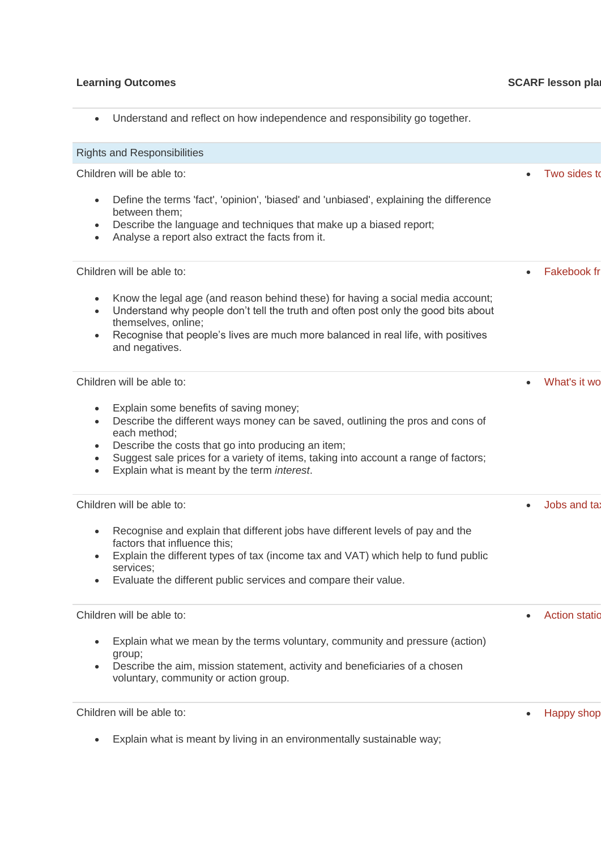## **Learning Outcomes CONSIDERENT CONSIDERED ASSESSED ASSESSED PROPERTY ASSESSED PROPERTY ASSESSED PROPERTY ASSESSED PROPERTY ASSESSED PROPERTY ASSESSED PROPERTY ASSESSED PROPERTY ASSESSED PROPERTY ASSESSED PROPERTY ASSESSE**

• Understand and reflect on how independence and responsibility go together.

| <b>Rights and Responsibilities</b>                                                                                                                                                                                                                                                                                                                                                                    |                           |
|-------------------------------------------------------------------------------------------------------------------------------------------------------------------------------------------------------------------------------------------------------------------------------------------------------------------------------------------------------------------------------------------------------|---------------------------|
| Children will be able to:                                                                                                                                                                                                                                                                                                                                                                             | Two sides to              |
| Define the terms 'fact', 'opinion', 'biased' and 'unbiased', explaining the difference<br>$\bullet$<br>between them;<br>Describe the language and techniques that make up a biased report;<br>$\bullet$<br>Analyse a report also extract the facts from it.<br>$\bullet$                                                                                                                              |                           |
| Children will be able to:                                                                                                                                                                                                                                                                                                                                                                             | <b>Fakebook fr</b>        |
| Know the legal age (and reason behind these) for having a social media account;<br>$\bullet$<br>Understand why people don't tell the truth and often post only the good bits about<br>$\bullet$<br>themselves, online;<br>Recognise that people's lives are much more balanced in real life, with positives<br>$\bullet$<br>and negatives.                                                            |                           |
| Children will be able to:                                                                                                                                                                                                                                                                                                                                                                             | What's it wo<br>$\bullet$ |
| Explain some benefits of saving money;<br>$\bullet$<br>Describe the different ways money can be saved, outlining the pros and cons of<br>$\bullet$<br>each method;<br>Describe the costs that go into producing an item;<br>$\bullet$<br>Suggest sale prices for a variety of items, taking into account a range of factors;<br>$\bullet$<br>Explain what is meant by the term interest.<br>$\bullet$ |                           |
| Children will be able to:                                                                                                                                                                                                                                                                                                                                                                             | Jobs and ta:              |
| Recognise and explain that different jobs have different levels of pay and the<br>$\bullet$<br>factors that influence this;<br>Explain the different types of tax (income tax and VAT) which help to fund public<br>$\bullet$<br>services;<br>Evaluate the different public services and compare their value.                                                                                         |                           |
| Children will be able to:                                                                                                                                                                                                                                                                                                                                                                             | <b>Action statio</b>      |
| Explain what we mean by the terms voluntary, community and pressure (action)<br>group;<br>Describe the aim, mission statement, activity and beneficiaries of a chosen<br>voluntary, community or action group.                                                                                                                                                                                        |                           |
| Children will be able to:                                                                                                                                                                                                                                                                                                                                                                             | <b>Happy shop</b>         |
| Explain what is meant by living in an environmentally sustainable way;                                                                                                                                                                                                                                                                                                                                |                           |
|                                                                                                                                                                                                                                                                                                                                                                                                       |                           |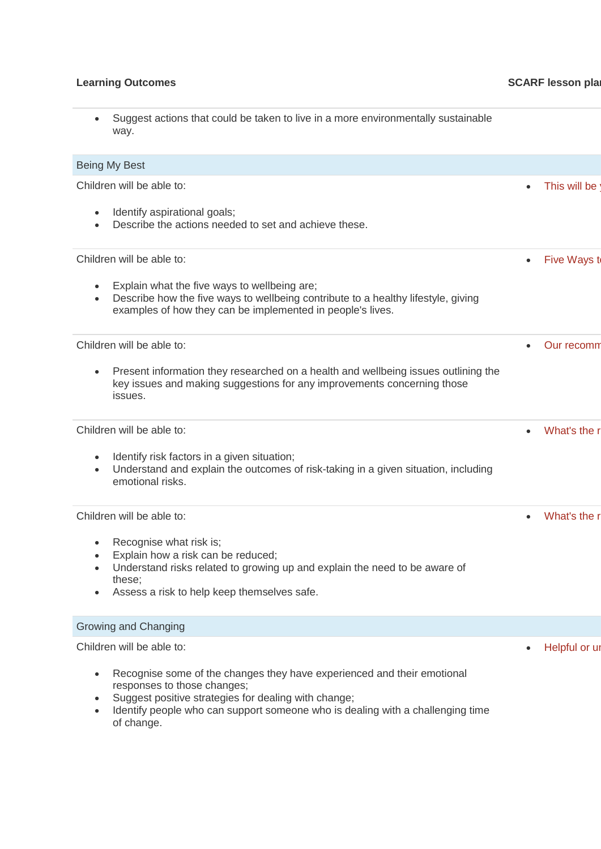| $\bullet$              | Suggest actions that could be taken to live in a more environmentally sustainable<br>way.                                                                                                                                                        |               |
|------------------------|--------------------------------------------------------------------------------------------------------------------------------------------------------------------------------------------------------------------------------------------------|---------------|
|                        | Being My Best                                                                                                                                                                                                                                    |               |
|                        | Children will be able to:                                                                                                                                                                                                                        | This will be  |
|                        | Identify aspirational goals;<br>Describe the actions needed to set and achieve these.                                                                                                                                                            |               |
|                        | Children will be able to:                                                                                                                                                                                                                        | Five Ways to  |
| $\bullet$              | Explain what the five ways to wellbeing are;<br>Describe how the five ways to wellbeing contribute to a healthy lifestyle, giving<br>examples of how they can be implemented in people's lives.                                                  |               |
|                        | Children will be able to:                                                                                                                                                                                                                        | Our recomm    |
| $\bullet$              | Present information they researched on a health and wellbeing issues outlining the<br>key issues and making suggestions for any improvements concerning those<br>issues.                                                                         |               |
|                        | Children will be able to:                                                                                                                                                                                                                        | What's the r  |
| $\bullet$<br>$\bullet$ | Identify risk factors in a given situation;<br>Understand and explain the outcomes of risk-taking in a given situation, including<br>emotional risks.                                                                                            |               |
|                        | Children will be able to:                                                                                                                                                                                                                        | What's the r  |
| $\bullet$              | Recognise what risk is;<br>Explain how a risk can be reduced;<br>Understand risks related to growing up and explain the need to be aware of<br>these;<br>Assess a risk to help keep themselves safe.                                             |               |
|                        | Growing and Changing                                                                                                                                                                                                                             |               |
|                        | Children will be able to:                                                                                                                                                                                                                        | Helpful or ur |
| $\bullet$              | Recognise some of the changes they have experienced and their emotional<br>responses to those changes;<br>Suggest positive strategies for dealing with change;<br>Identify people who can support someone who is dealing with a challenging time |               |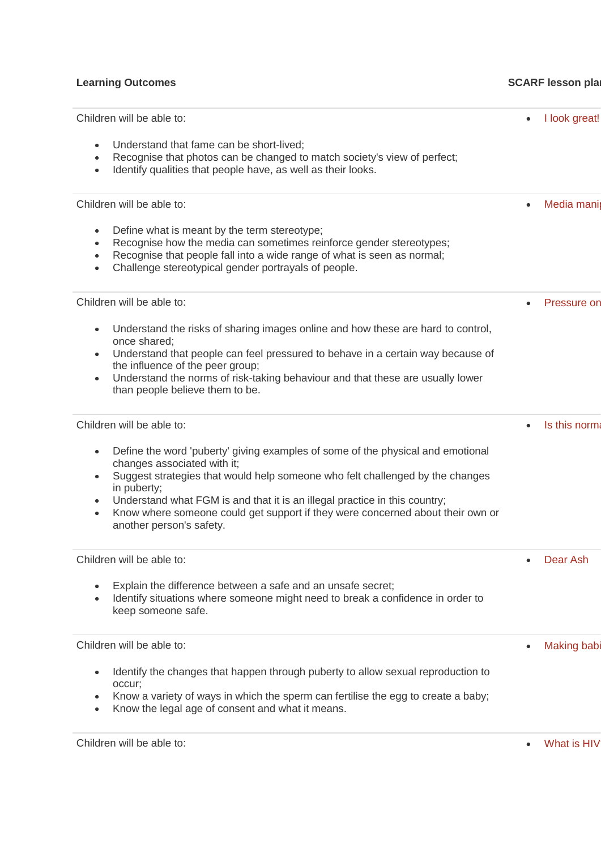| Children will be able to:                                                                                                                                                                                                                                                                                                                                                                                                                                      | $\bullet$ | I look great!      |
|----------------------------------------------------------------------------------------------------------------------------------------------------------------------------------------------------------------------------------------------------------------------------------------------------------------------------------------------------------------------------------------------------------------------------------------------------------------|-----------|--------------------|
| Understand that fame can be short-lived;<br>$\bullet$<br>Recognise that photos can be changed to match society's view of perfect;<br>$\bullet$<br>Identify qualities that people have, as well as their looks.<br>$\bullet$                                                                                                                                                                                                                                    |           |                    |
| Children will be able to:                                                                                                                                                                                                                                                                                                                                                                                                                                      | $\bullet$ | Media mani         |
| Define what is meant by the term stereotype;<br>$\bullet$<br>Recognise how the media can sometimes reinforce gender stereotypes;<br>$\bullet$<br>Recognise that people fall into a wide range of what is seen as normal;<br>$\bullet$<br>Challenge stereotypical gender portrayals of people.<br>$\bullet$                                                                                                                                                     |           |                    |
| Children will be able to:                                                                                                                                                                                                                                                                                                                                                                                                                                      |           | Pressure on        |
| Understand the risks of sharing images online and how these are hard to control,<br>$\bullet$<br>once shared:<br>Understand that people can feel pressured to behave in a certain way because of<br>$\bullet$<br>the influence of the peer group;<br>Understand the norms of risk-taking behaviour and that these are usually lower<br>$\bullet$<br>than people believe them to be.                                                                            |           |                    |
| Children will be able to:                                                                                                                                                                                                                                                                                                                                                                                                                                      |           | Is this norma      |
| Define the word 'puberty' giving examples of some of the physical and emotional<br>$\bullet$<br>changes associated with it;<br>Suggest strategies that would help someone who felt challenged by the changes<br>$\bullet$<br>in puberty;<br>Understand what FGM is and that it is an illegal practice in this country;<br>$\bullet$<br>Know where someone could get support if they were concerned about their own or<br>$\bullet$<br>another person's safety. |           |                    |
| Children will be able to:                                                                                                                                                                                                                                                                                                                                                                                                                                      |           | Dear Ash           |
| Explain the difference between a safe and an unsafe secret;<br>$\bullet$<br>Identify situations where someone might need to break a confidence in order to<br>$\bullet$<br>keep someone safe.                                                                                                                                                                                                                                                                  |           |                    |
| Children will be able to:                                                                                                                                                                                                                                                                                                                                                                                                                                      | $\bullet$ | <b>Making babi</b> |
| Identify the changes that happen through puberty to allow sexual reproduction to<br>$\bullet$<br>occur;<br>Know a variety of ways in which the sperm can fertilise the egg to create a baby;<br>٠<br>Know the legal age of consent and what it means.<br>$\bullet$                                                                                                                                                                                             |           |                    |
| Children will be able to:                                                                                                                                                                                                                                                                                                                                                                                                                                      | $\bullet$ | What is HIV        |